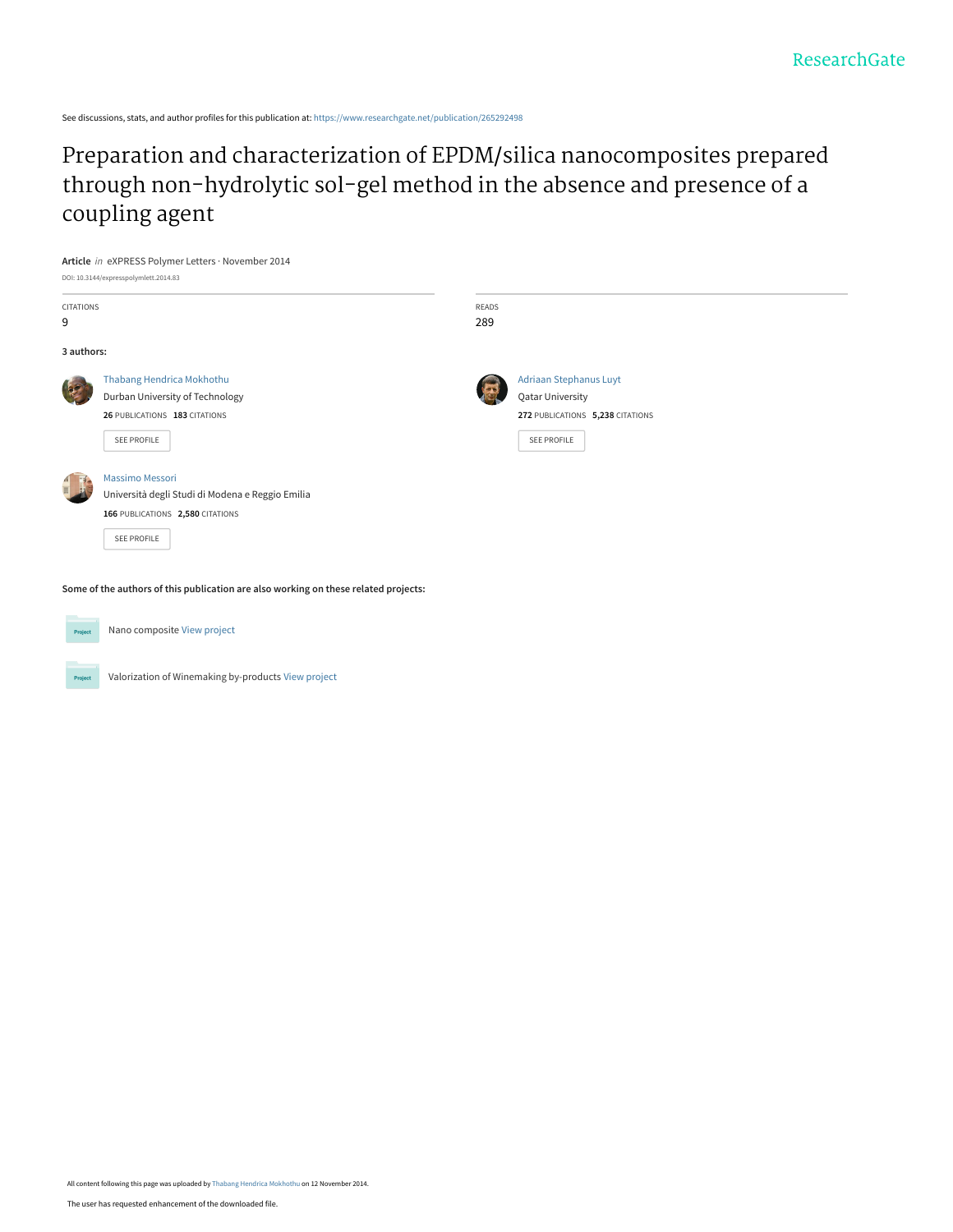See discussions, stats, and author profiles for this publication at: [https://www.researchgate.net/publication/265292498](https://www.researchgate.net/publication/265292498_Preparation_and_characterization_of_EPDMsilica_nanocomposites_prepared_through_non-hydrolytic_sol-gel_method_in_the_absence_and_presence_of_a_coupling_agent?enrichId=rgreq-7fe535eb79287e4468b4312ebae10508-XXX&enrichSource=Y292ZXJQYWdlOzI2NTI5MjQ5ODtBUzoxNjI2MjkzMjY3NDU2MDBAMTQxNTc4NTI2MTE1Nw%3D%3D&el=1_x_2&_esc=publicationCoverPdf)

[Preparation and characterization of EPDM/silica nanocomposites prepared](https://www.researchgate.net/publication/265292498_Preparation_and_characterization_of_EPDMsilica_nanocomposites_prepared_through_non-hydrolytic_sol-gel_method_in_the_absence_and_presence_of_a_coupling_agent?enrichId=rgreq-7fe535eb79287e4468b4312ebae10508-XXX&enrichSource=Y292ZXJQYWdlOzI2NTI5MjQ5ODtBUzoxNjI2MjkzMjY3NDU2MDBAMTQxNTc4NTI2MTE1Nw%3D%3D&el=1_x_3&_esc=publicationCoverPdf) through non-hydrolytic sol-gel method in the absence and presence of a coupling agent



**Some of the authors of this publication are also working on these related projects:**



Nano composite [View project](https://www.researchgate.net/project/Nano-composite-3?enrichId=rgreq-7fe535eb79287e4468b4312ebae10508-XXX&enrichSource=Y292ZXJQYWdlOzI2NTI5MjQ5ODtBUzoxNjI2MjkzMjY3NDU2MDBAMTQxNTc4NTI2MTE1Nw%3D%3D&el=1_x_9&_esc=publicationCoverPdf)

Valorization of Winemaking by-products [View project](https://www.researchgate.net/project/Valorization-of-Winemaking-by-products?enrichId=rgreq-7fe535eb79287e4468b4312ebae10508-XXX&enrichSource=Y292ZXJQYWdlOzI2NTI5MjQ5ODtBUzoxNjI2MjkzMjY3NDU2MDBAMTQxNTc4NTI2MTE1Nw%3D%3D&el=1_x_9&_esc=publicationCoverPdf)

All content following this page was uploaded by [Thabang Hendrica Mokhothu](https://www.researchgate.net/profile/Thabang_Mokhothu?enrichId=rgreq-7fe535eb79287e4468b4312ebae10508-XXX&enrichSource=Y292ZXJQYWdlOzI2NTI5MjQ5ODtBUzoxNjI2MjkzMjY3NDU2MDBAMTQxNTc4NTI2MTE1Nw%3D%3D&el=1_x_10&_esc=publicationCoverPdf) on 12 November 2014.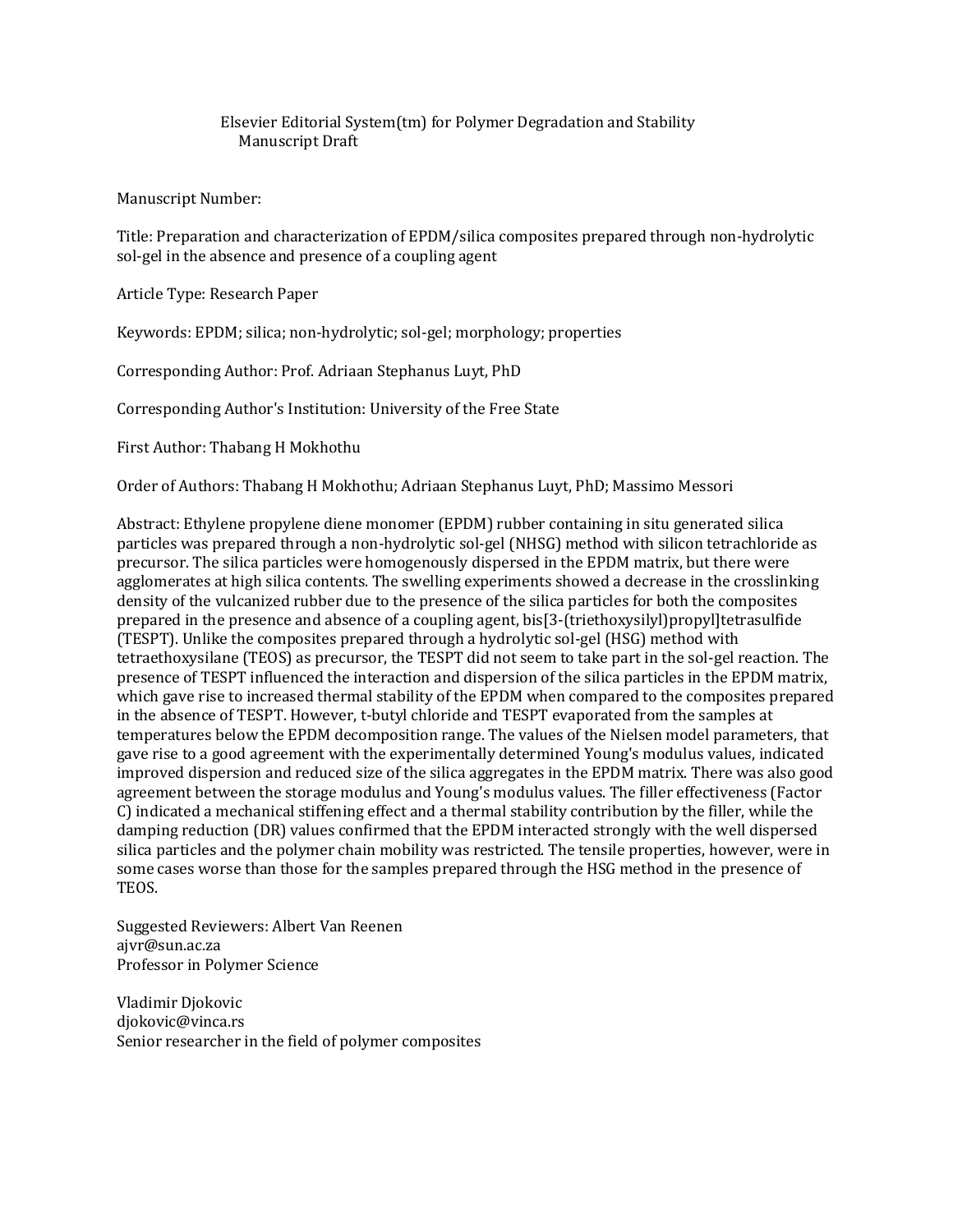# Elsevier Editorial System(tm) for Polymer Degradation and Stability Manuscript Draft

Manuscript Number:

Title: Preparation and characterization of EPDM/silica composites prepared through non-hydrolytic sol-gel in the absence and presence of a coupling agent

Article Type: Research Paper

Keywords: EPDM; silica; non-hydrolytic; sol-gel; morphology; properties

Corresponding Author: Prof. Adriaan Stephanus Luyt, PhD

Corresponding Author's Institution: University of the Free State

First Author: Thabang H Mokhothu

Order of Authors: Thabang H Mokhothu; Adriaan Stephanus Luyt, PhD; Massimo Messori

Abstract: Ethylene propylene diene monomer (EPDM) rubber containing in situ generated silica particles was prepared through a non-hydrolytic sol-gel (NHSG) method with silicon tetrachloride as precursor. The silica particles were homogenously dispersed in the EPDM matrix, but there were agglomerates at high silica contents. The swelling experiments showed a decrease in the crosslinking density of the vulcanized rubber due to the presence of the silica particles for both the composites prepared in the presence and absence of a coupling agent, bis[3-(triethoxysilyl)propyl]tetrasulfide (TESPT). Unlike the composites prepared through a hydrolytic sol-gel (HSG) method with tetraethoxysilane (TEOS) as precursor, the TESPT did not seem to take part in the sol-gel reaction. The presence of TESPT influenced the interaction and dispersion of the silica particles in the EPDM matrix, which gave rise to increased thermal stability of the EPDM when compared to the composites prepared in the absence of TESPT. However, t-butyl chloride and TESPT evaporated from the samples at temperatures below the EPDM decomposition range. The values of the Nielsen model parameters, that gave rise to a good agreement with the experimentally determined Young's modulus values, indicated improved dispersion and reduced size of the silica aggregates in the EPDM matrix. There was also good agreement between the storage modulus and Young's modulus values. The filler effectiveness (Factor C) indicated a mechanical stiffening effect and a thermal stability contribution by the filler, while the damping reduction (DR) values confirmed that the EPDM interacted strongly with the well dispersed silica particles and the polymer chain mobility was restricted. The tensile properties, however, were in some cases worse than those for the samples prepared through the HSG method in the presence of TEOS.

Suggested Reviewers: Albert Van Reenen ajvr@sun.ac.za Professor in Polymer Science

Vladimir Djokovic djokovic@vinca.rs Senior researcher in the field of polymer composites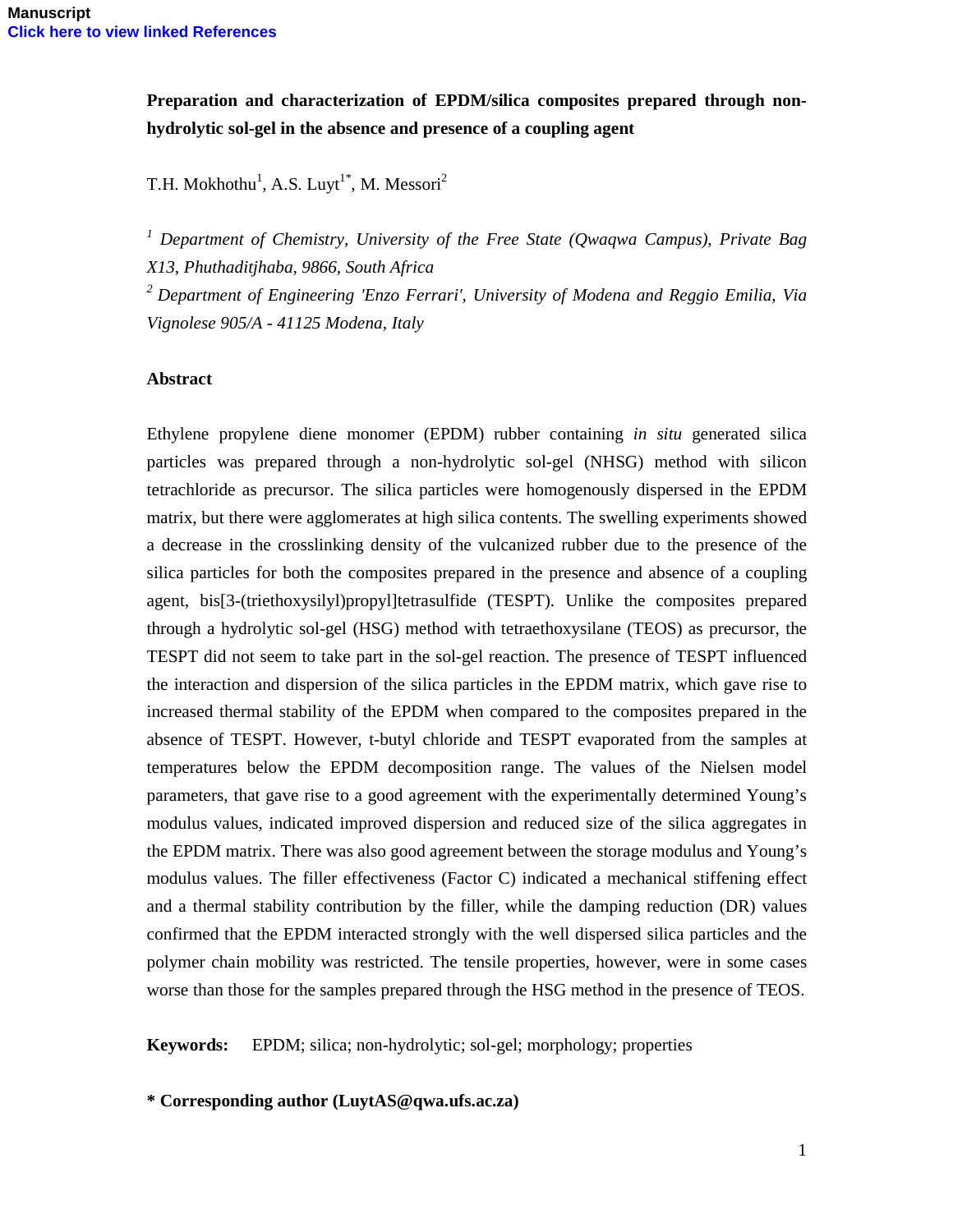**Preparation and characterization of EPDM/silica composites prepared through nonhydrolytic sol-gel in the absence and presence of a coupling agent** 

T.H. Mokhothu<sup>1</sup>, A.S. Luyt<sup>1\*</sup>, M. Messori<sup>2</sup>

*<sup>1</sup> Department of Chemistry, University of the Free State (Qwaqwa Campus), Private Bag X13, Phuthaditjhaba, 9866, South Africa* 

*<sup>2</sup>Department of Engineering 'Enzo Ferrari', University of Modena and Reggio Emilia, Via Vignolese 905/A - 41125 Modena, Italy* 

## **Abstract**

Ethylene propylene diene monomer (EPDM) rubber containing *in situ* generated silica particles was prepared through a non-hydrolytic sol-gel (NHSG) method with silicon tetrachloride as precursor. The silica particles were homogenously dispersed in the EPDM matrix, but there were agglomerates at high silica contents. The swelling experiments showed a decrease in the crosslinking density of the vulcanized rubber due to the presence of the silica particles for both the composites prepared in the presence and absence of a coupling agent, bis[3-(triethoxysilyl)propyl]tetrasulfide (TESPT). Unlike the composites prepared through a hydrolytic sol-gel (HSG) method with tetraethoxysilane (TEOS) as precursor, the TESPT did not seem to take part in the sol-gel reaction. The presence of TESPT influenced the interaction and dispersion of the silica particles in the EPDM matrix, which gave rise to increased thermal stability of the EPDM when compared to the composites prepared in the absence of TESPT. However, t-butyl chloride and TESPT evaporated from the samples at temperatures below the EPDM decomposition range. The values of the Nielsen model parameters, that gave rise to a good agreement with the experimentally determined Young's modulus values, indicated improved dispersion and reduced size of the silica aggregates in the EPDM matrix. There was also good agreement between the storage modulus and Young's modulus values. The filler effectiveness (Factor C) indicated a mechanical stiffening effect and a thermal stability contribution by the filler, while the damping reduction (DR) values confirmed that the EPDM interacted strongly with the well dispersed silica particles and the polymer chain mobility was restricted. The tensile properties, however, were in some cases worse than those for the samples prepared through the HSG method in the presence of TEOS.

**Keywords:** EPDM; silica; non-hydrolytic; sol-gel; morphology; properties

**\* Corresponding author (LuytAS@qwa.ufs.ac.za)**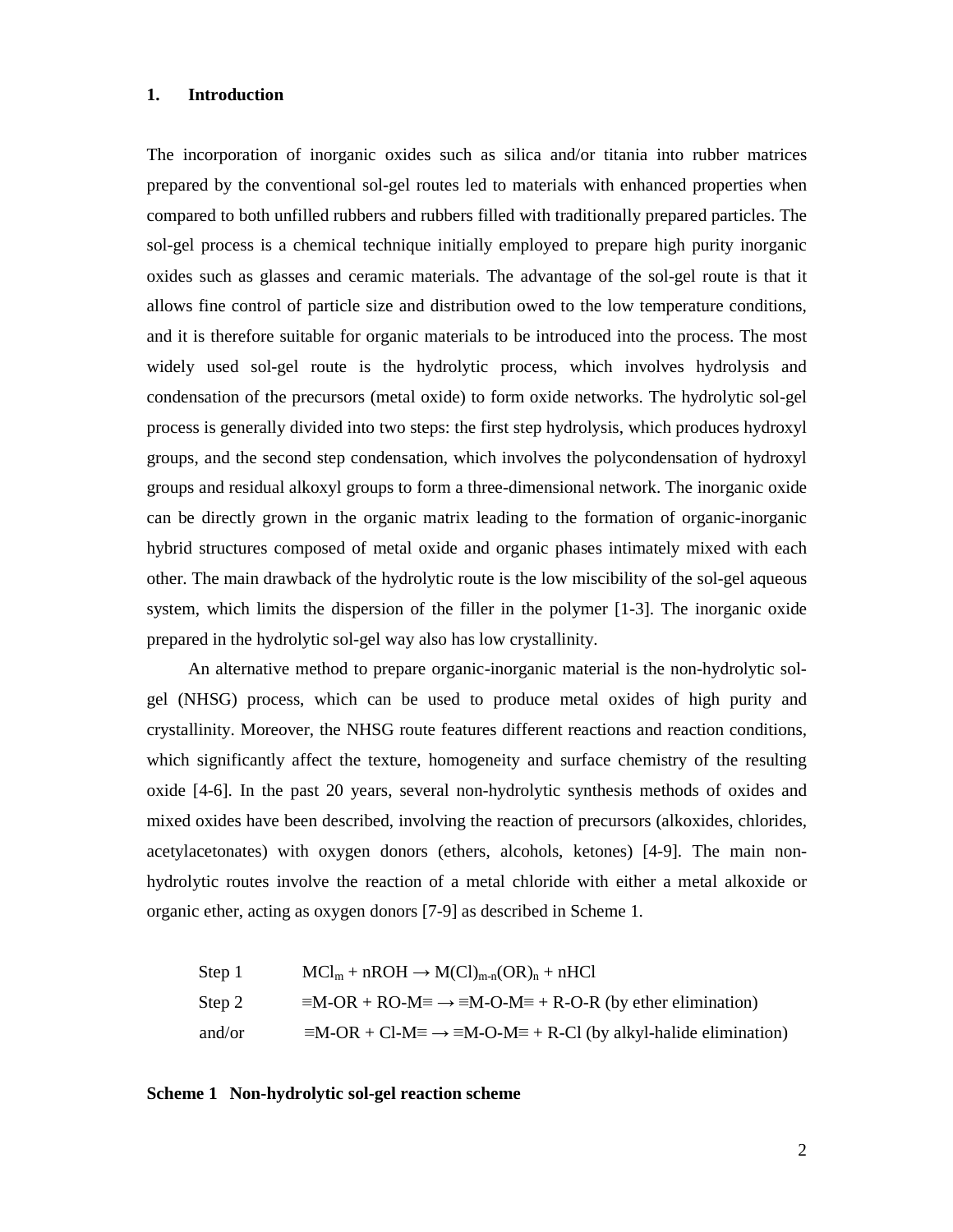#### **1. Introduction**

The incorporation of inorganic oxides such as silica and/or titania into rubber matrices prepared by the conventional sol-gel routes led to materials with enhanced properties when compared to both unfilled rubbers and rubbers filled with traditionally prepared particles. The sol-gel process is a chemical technique initially employed to prepare high purity inorganic oxides such as glasses and ceramic materials. The advantage of the sol-gel route is that it allows fine control of particle size and distribution owed to the low temperature conditions, and it is therefore suitable for organic materials to be introduced into the process. The most widely used sol-gel route is the hydrolytic process, which involves hydrolysis and condensation of the precursors (metal oxide) to form oxide networks. The hydrolytic sol-gel process is generally divided into two steps: the first step hydrolysis, which produces hydroxyl groups, and the second step condensation, which involves the polycondensation of hydroxyl groups and residual alkoxyl groups to form a three-dimensional network. The inorganic oxide can be directly grown in the organic matrix leading to the formation of organic-inorganic hybrid structures composed of metal oxide and organic phases intimately mixed with each other. The main drawback of the hydrolytic route is the low miscibility of the sol-gel aqueous system, which limits the dispersion of the filler in the polymer [1-3]. The inorganic oxide prepared in the hydrolytic sol-gel way also has low crystallinity.

An alternative method to prepare organic-inorganic material is the non-hydrolytic solgel (NHSG) process, which can be used to produce metal oxides of high purity and crystallinity. Moreover, the NHSG route features different reactions and reaction conditions, which significantly affect the texture, homogeneity and surface chemistry of the resulting oxide [4-6]. In the past 20 years, several non-hydrolytic synthesis methods of oxides and mixed oxides have been described, involving the reaction of precursors (alkoxides, chlorides, acetylacetonates) with oxygen donors (ethers, alcohols, ketones) [4-9]. The main nonhydrolytic routes involve the reaction of a metal chloride with either a metal alkoxide or organic ether, acting as oxygen donors [7-9] as described in Scheme 1.

Step 1 
$$
MCl_m + nROH \rightarrow M(Cl)_{m-n}(OR)_n + nHCl
$$
  
\nStep 2  $\equiv M-OR + RO-M \equiv \rightarrow \equiv M-O-M \equiv + R-O-R$  (by ether elimination)  
\nand/or  $\equiv M-OR + Cl-M \equiv \rightarrow \equiv M-O-M \equiv + R-Cl$  (by alkyl-halide elimination)

#### **Scheme 1 Non-hydrolytic sol-gel reaction scheme**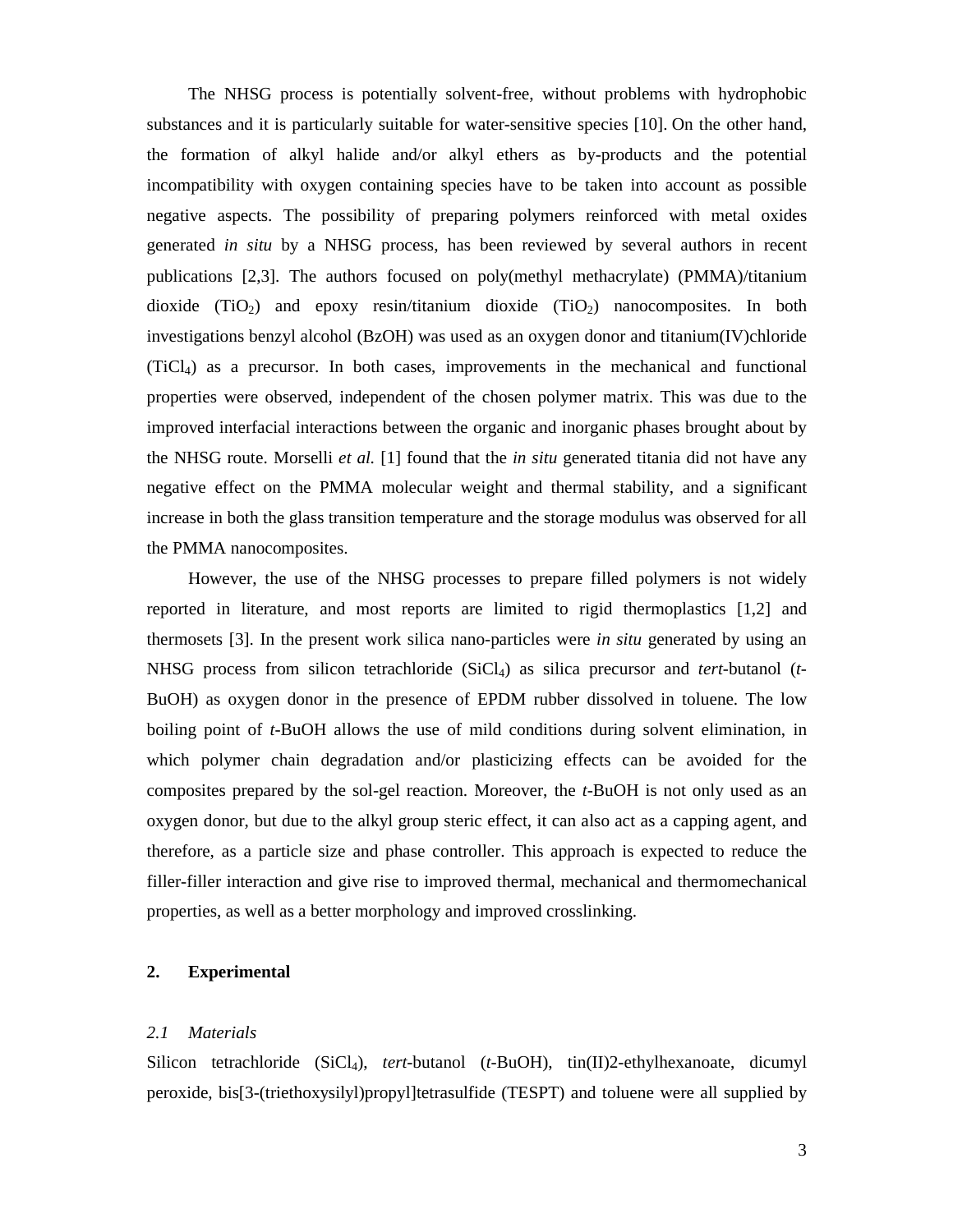The NHSG process is potentially solvent-free, without problems with hydrophobic substances and it is particularly suitable for water-sensitive species [10]. On the other hand, the formation of alkyl halide and/or alkyl ethers as by-products and the potential incompatibility with oxygen containing species have to be taken into account as possible negative aspects. The possibility of preparing polymers reinforced with metal oxides generated *in situ* by a NHSG process, has been reviewed by several authors in recent publications [2,3]. The authors focused on poly(methyl methacrylate) (PMMA)/titanium dioxide  $(TiO<sub>2</sub>)$  and epoxy resin/titanium dioxide  $(TiO<sub>2</sub>)$  nanocomposites. In both investigations benzyl alcohol (BzOH) was used as an oxygen donor and titanium(IV)chloride (TiCl4) as a precursor. In both cases, improvements in the mechanical and functional properties were observed, independent of the chosen polymer matrix. This was due to the improved interfacial interactions between the organic and inorganic phases brought about by the NHSG route. Morselli *et al.* [1] found that the *in situ* generated titania did not have any negative effect on the PMMA molecular weight and thermal stability, and a significant increase in both the glass transition temperature and the storage modulus was observed for all the PMMA nanocomposites.

However, the use of the NHSG processes to prepare filled polymers is not widely reported in literature, and most reports are limited to rigid thermoplastics [1,2] and thermosets [3]. In the present work silica nano-particles were *in situ* generated by using an NHSG process from silicon tetrachloride (SiCl4) as silica precursor and *tert*-butanol (*t-*BuOH) as oxygen donor in the presence of EPDM rubber dissolved in toluene. The low boiling point of *t*-BuOH allows the use of mild conditions during solvent elimination, in which polymer chain degradation and/or plasticizing effects can be avoided for the composites prepared by the sol-gel reaction. Moreover, the *t*-BuOH is not only used as an oxygen donor, but due to the alkyl group steric effect, it can also act as a capping agent, and therefore, as a particle size and phase controller. This approach is expected to reduce the filler-filler interaction and give rise to improved thermal, mechanical and thermomechanical properties, as well as a better morphology and improved crosslinking.

## **2. Experimental**

#### *2.1 Materials*

Silicon tetrachloride (SiCl4), *tert*-butanol (*t-*BuOH), tin(II)2-ethylhexanoate, dicumyl peroxide, bis[3-(triethoxysilyl)propyl]tetrasulfide (TESPT) and toluene were all supplied by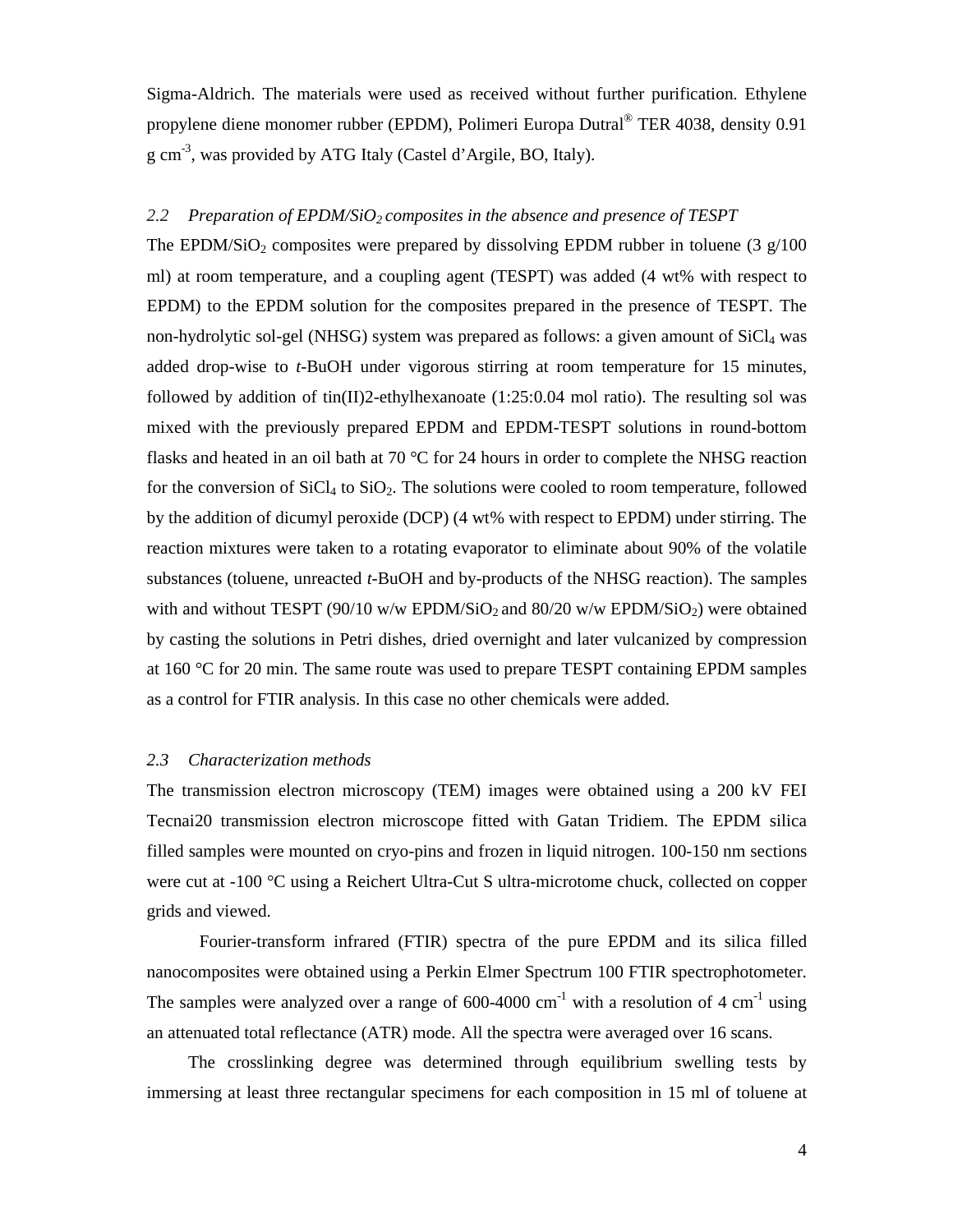Sigma-Aldrich. The materials were used as received without further purification. Ethylene propylene diene monomer rubber (EPDM), Polimeri Europa Dutral® TER 4038, density 0.91 g cm-3, was provided by ATG Italy (Castel d'Argile, BO, Italy).

#### *2.2 Preparation of EPDM/SiO2 composites in the absence and presence of TESPT*

The EPDM/SiO<sub>2</sub> composites were prepared by dissolving EPDM rubber in toluene (3  $g/100$ ) ml) at room temperature, and a coupling agent (TESPT) was added (4 wt% with respect to EPDM) to the EPDM solution for the composites prepared in the presence of TESPT. The non-hydrolytic sol-gel (NHSG) system was prepared as follows: a given amount of  $SiCl<sub>4</sub>$  was added drop-wise to *t*-BuOH under vigorous stirring at room temperature for 15 minutes, followed by addition of tin(II)2-ethylhexanoate  $(1:25:0.04 \text{ mol ratio})$ . The resulting sol was mixed with the previously prepared EPDM and EPDM-TESPT solutions in round-bottom flasks and heated in an oil bath at 70  $\degree$ C for 24 hours in order to complete the NHSG reaction for the conversion of  $SiCl<sub>4</sub>$  to  $SiO<sub>2</sub>$ . The solutions were cooled to room temperature, followed by the addition of dicumyl peroxide (DCP) (4 wt% with respect to EPDM) under stirring. The reaction mixtures were taken to a rotating evaporator to eliminate about 90% of the volatile substances (toluene, unreacted *t*-BuOH and by-products of the NHSG reaction). The samples with and without TESPT (90/10 w/w EPDM/SiO<sub>2</sub> and 80/20 w/w EPDM/SiO<sub>2</sub>) were obtained by casting the solutions in Petri dishes, dried overnight and later vulcanized by compression at 160 °C for 20 min. The same route was used to prepare TESPT containing EPDM samples as a control for FTIR analysis. In this case no other chemicals were added.

#### *2.3 Characterization methods*

The transmission electron microscopy (TEM) images were obtained using a 200 kV FEI Tecnai20 transmission electron microscope fitted with Gatan Tridiem. The EPDM silica filled samples were mounted on cryo-pins and frozen in liquid nitrogen. 100-150 nm sections were cut at -100 °C using a Reichert Ultra-Cut S ultra-microtome chuck, collected on copper grids and viewed.

 Fourier-transform infrared (FTIR) spectra of the pure EPDM and its silica filled nanocomposites were obtained using a Perkin Elmer Spectrum 100 FTIR spectrophotometer. The samples were analyzed over a range of  $600-4000$  cm<sup>-1</sup> with a resolution of 4 cm<sup>-1</sup> using an attenuated total reflectance (ATR) mode. All the spectra were averaged over 16 scans.

The crosslinking degree was determined through equilibrium swelling tests by immersing at least three rectangular specimens for each composition in 15 ml of toluene at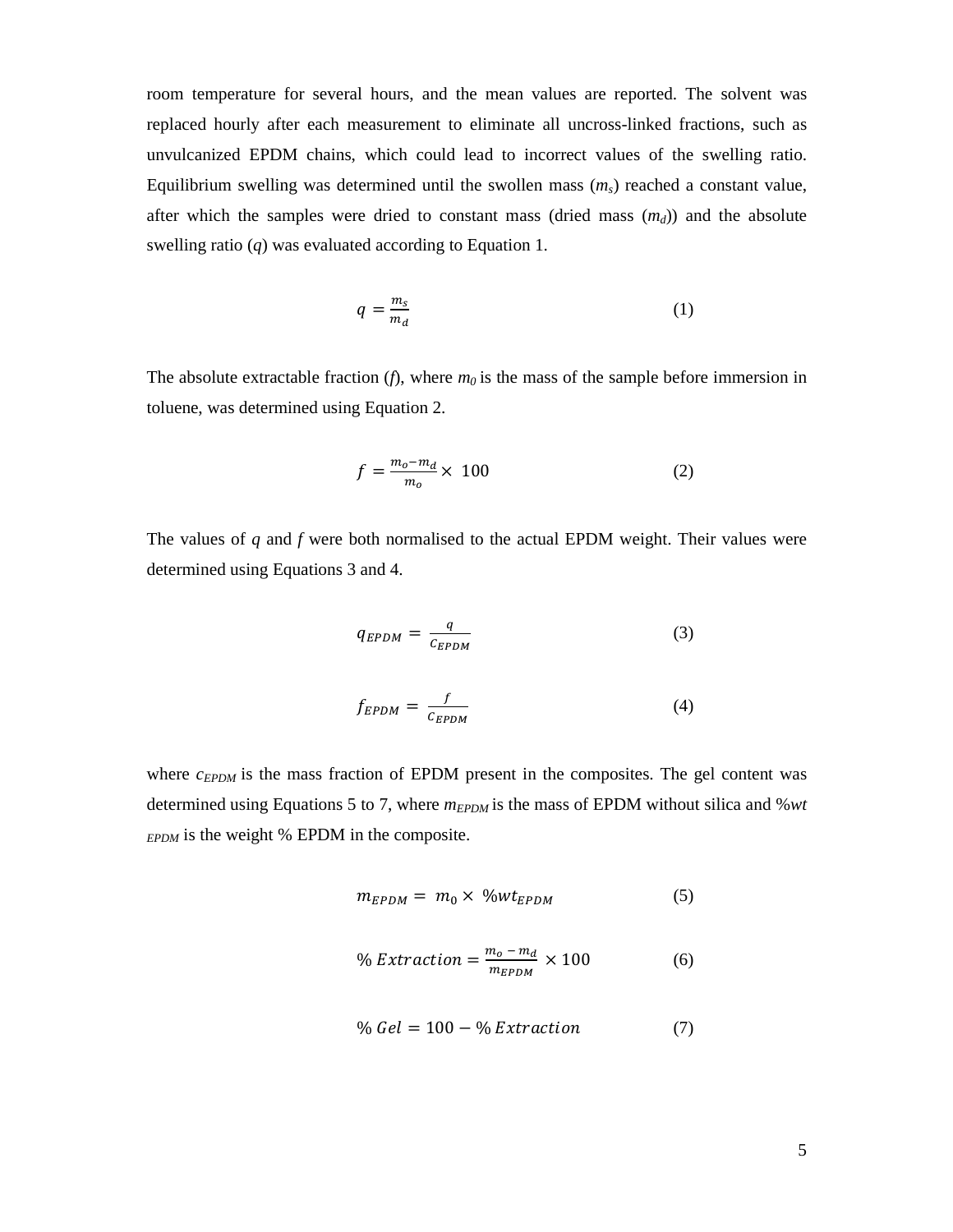room temperature for several hours, and the mean values are reported. The solvent was replaced hourly after each measurement to eliminate all uncross-linked fractions, such as unvulcanized EPDM chains, which could lead to incorrect values of the swelling ratio. Equilibrium swelling was determined until the swollen mass  $(m<sub>s</sub>)$  reached a constant value, after which the samples were dried to constant mass (dried mass  $(m_d)$ ) and the absolute swelling ratio (*q*) was evaluated according to Equation 1.

$$
q = \frac{m_s}{m_d} \tag{1}
$$

The absolute extractable fraction  $(f)$ , where  $m<sub>0</sub>$  is the mass of the sample before immersion in toluene, was determined using Equation 2.

$$
f = \frac{m_o - m_d}{m_o} \times 100\tag{2}
$$

The values of *q* and *f* were both normalised to the actual EPDM weight. Their values were determined using Equations 3 and 4.

$$
q_{EPDM} = \frac{q}{c_{EPDM}} \tag{3}
$$

$$
f_{EPDM} = \frac{f}{c_{EPDM}} \tag{4}
$$

where  $c_{E PDM}$  is the mass fraction of EPDM present in the composites. The gel content was determined using Equations 5 to 7, where  $m_{EPDM}$  is the mass of EPDM without silica and %*wt EPDM* is the weight % EPDM in the composite.

$$
m_{EPDM} = m_0 \times \% wt_{EPDM} \tag{5}
$$

$$
\% \, Extraction = \frac{m_o - m_d}{m_{EPDM}} \times 100 \tag{6}
$$

$$
\% Gel = 100 - % Extraction \tag{7}
$$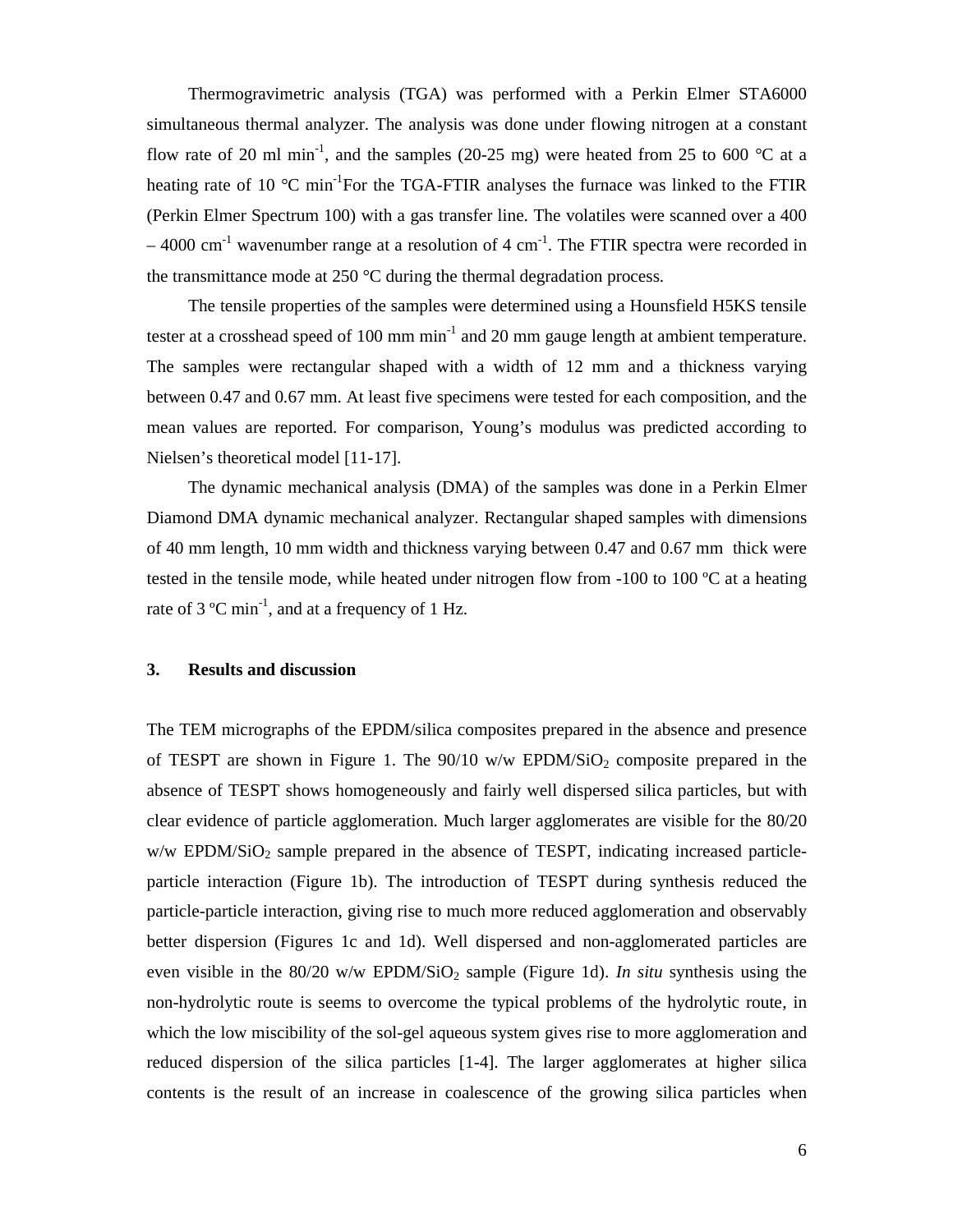Thermogravimetric analysis (TGA) was performed with a Perkin Elmer STA6000 simultaneous thermal analyzer. The analysis was done under flowing nitrogen at a constant flow rate of 20 ml min<sup>-1</sup>, and the samples (20-25 mg) were heated from 25 to 600 °C at a heating rate of 10  $^{\circ}$ C min<sup>-1</sup>For the TGA-FTIR analyses the furnace was linked to the FTIR (Perkin Elmer Spectrum 100) with a gas transfer line. The volatiles were scanned over a 400  $-$  4000 cm<sup>-1</sup> wavenumber range at a resolution of 4 cm<sup>-1</sup>. The FTIR spectra were recorded in the transmittance mode at 250 °C during the thermal degradation process.

The tensile properties of the samples were determined using a Hounsfield H5KS tensile tester at a crosshead speed of 100 mm  $min^{-1}$  and 20 mm gauge length at ambient temperature. The samples were rectangular shaped with a width of 12 mm and a thickness varying between 0.47 and 0.67 mm. At least five specimens were tested for each composition, and the mean values are reported. For comparison, Young's modulus was predicted according to Nielsen's theoretical model [11-17].

The dynamic mechanical analysis (DMA) of the samples was done in a Perkin Elmer Diamond DMA dynamic mechanical analyzer. Rectangular shaped samples with dimensions of 40 mm length, 10 mm width and thickness varying between 0.47 and 0.67 mm thick were tested in the tensile mode, while heated under nitrogen flow from  $-100$  to  $100$  °C at a heating rate of 3  $^{\circ}$ C min<sup>-1</sup>, and at a frequency of 1 Hz.

#### **3. Results and discussion**

The TEM micrographs of the EPDM/silica composites prepared in the absence and presence of TESPT are shown in Figure 1. The  $90/10$  w/w EPDM/SiO<sub>2</sub> composite prepared in the absence of TESPT shows homogeneously and fairly well dispersed silica particles, but with clear evidence of particle agglomeration. Much larger agglomerates are visible for the 80/20  $w/w$  EPDM/SiO<sub>2</sub> sample prepared in the absence of TESPT, indicating increased particleparticle interaction (Figure 1b). The introduction of TESPT during synthesis reduced the particle-particle interaction, giving rise to much more reduced agglomeration and observably better dispersion (Figures 1c and 1d). Well dispersed and non-agglomerated particles are even visible in the  $80/20$  w/w EPDM/SiO<sub>2</sub> sample (Figure 1d). *In situ* synthesis using the non-hydrolytic route is seems to overcome the typical problems of the hydrolytic route, in which the low miscibility of the sol-gel aqueous system gives rise to more agglomeration and reduced dispersion of the silica particles [1-4]. The larger agglomerates at higher silica contents is the result of an increase in coalescence of the growing silica particles when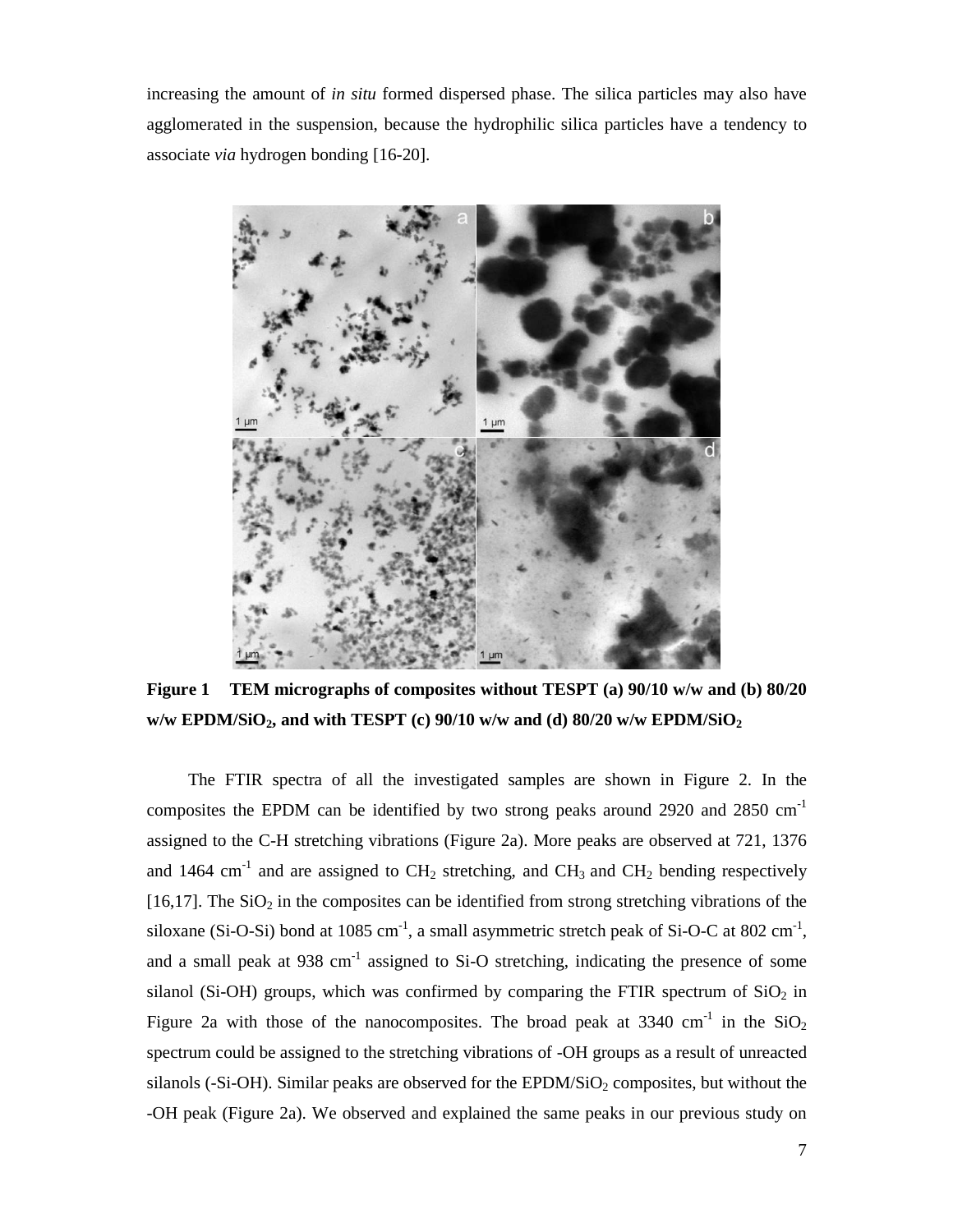increasing the amount of *in situ* formed dispersed phase. The silica particles may also have agglomerated in the suspension, because the hydrophilic silica particles have a tendency to associate *via* hydrogen bonding [16-20].



**Figure 1 TEM micrographs of composites without TESPT (a) 90/10 w/w and (b) 80/20 w/w EPDM/SiO2, and with TESPT (c) 90/10 w/w and (d) 80/20 w/w EPDM/SiO<sup>2</sup>**

The FTIR spectra of all the investigated samples are shown in Figure 2. In the composites the EPDM can be identified by two strong peaks around 2920 and 2850 cm-1 assigned to the C-H stretching vibrations (Figure 2a). More peaks are observed at 721, 1376 and 1464 cm<sup>-1</sup> and are assigned to  $CH_2$  stretching, and  $CH_3$  and  $CH_2$  bending respectively  $[16,17]$ . The SiO<sub>2</sub> in the composites can be identified from strong stretching vibrations of the siloxane (Si-O-Si) bond at 1085 cm<sup>-1</sup>, a small asymmetric stretch peak of Si-O-C at 802 cm<sup>-1</sup>, and a small peak at  $938 \text{ cm}^{-1}$  assigned to Si-O stretching, indicating the presence of some silanol (Si-OH) groups, which was confirmed by comparing the FTIR spectrum of  $SiO<sub>2</sub>$  in Figure 2a with those of the nanocomposites. The broad peak at 3340 cm<sup>-1</sup> in the  $SiO<sub>2</sub>$ spectrum could be assigned to the stretching vibrations of -OH groups as a result of unreacted silanols (-Si-OH). Similar peaks are observed for the EPDM/SiO<sub>2</sub> composites, but without the -OH peak (Figure 2a). We observed and explained the same peaks in our previous study on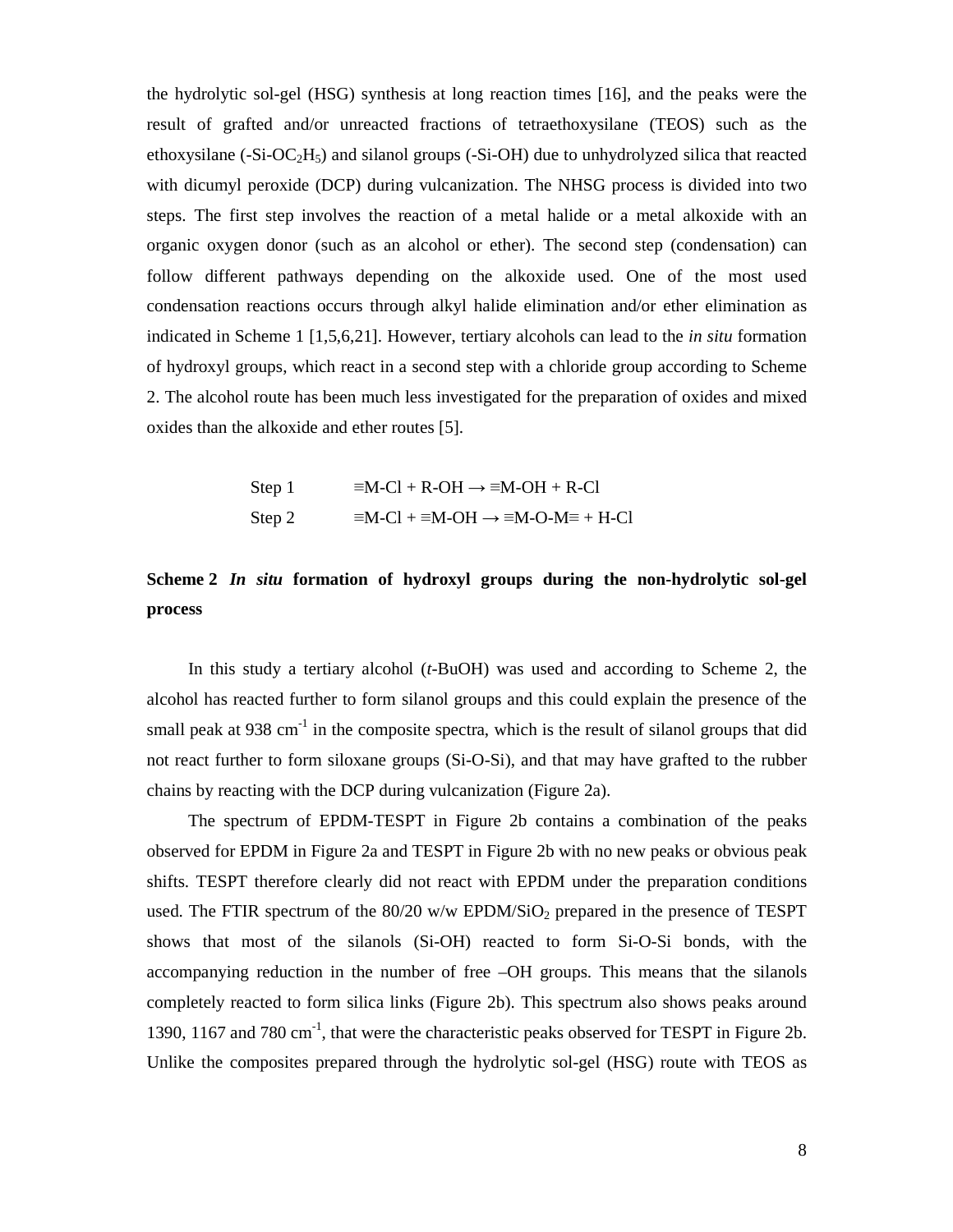the hydrolytic sol-gel (HSG) synthesis at long reaction times [16], and the peaks were the result of grafted and/or unreacted fractions of tetraethoxysilane (TEOS) such as the ethoxysilane  $(-Si-OC<sub>2</sub>H<sub>5</sub>)$  and silanol groups  $(-Si-OH)$  due to unhydrolyzed silica that reacted with dicumyl peroxide (DCP) during vulcanization. The NHSG process is divided into two steps. The first step involves the reaction of a metal halide or a metal alkoxide with an organic oxygen donor (such as an alcohol or ether). The second step (condensation) can follow different pathways depending on the alkoxide used. One of the most used condensation reactions occurs through alkyl halide elimination and/or ether elimination as indicated in Scheme 1 [1,5,6,21]. However, tertiary alcohols can lead to the *in situ* formation of hydroxyl groups, which react in a second step with a chloride group according to Scheme 2. The alcohol route has been much less investigated for the preparation of oxides and mixed oxides than the alkoxide and ether routes [5].

Step 1 
$$
\equiv M\text{-Cl} + R\text{-OH} \rightarrow \equiv M\text{-OH} + R\text{-Cl}
$$
  
Step 2  $\equiv M\text{-Cl} + \equiv M\text{-OH} \rightarrow \equiv M\text{-O} - M\equiv + H\text{-Cl}$ 

# **Scheme 2** *In situ* **formation of hydroxyl groups during the non-hydrolytic sol-gel process**

 In this study a tertiary alcohol (*t*-BuOH) was used and according to Scheme 2, the alcohol has reacted further to form silanol groups and this could explain the presence of the small peak at  $938 \text{ cm}^{-1}$  in the composite spectra, which is the result of silanol groups that did not react further to form siloxane groups (Si-O-Si), and that may have grafted to the rubber chains by reacting with the DCP during vulcanization (Figure 2a).

 The spectrum of EPDM-TESPT in Figure 2b contains a combination of the peaks observed for EPDM in Figure 2a and TESPT in Figure 2b with no new peaks or obvious peak shifts. TESPT therefore clearly did not react with EPDM under the preparation conditions used. The FTIR spectrum of the  $80/20$  w/w EPDM/SiO<sub>2</sub> prepared in the presence of TESPT shows that most of the silanols (Si-OH) reacted to form Si-O-Si bonds, with the accompanying reduction in the number of free –OH groups. This means that the silanols completely reacted to form silica links (Figure 2b). This spectrum also shows peaks around 1390, 1167 and 780 cm<sup>-1</sup>, that were the characteristic peaks observed for TESPT in Figure 2b. Unlike the composites prepared through the hydrolytic sol-gel (HSG) route with TEOS as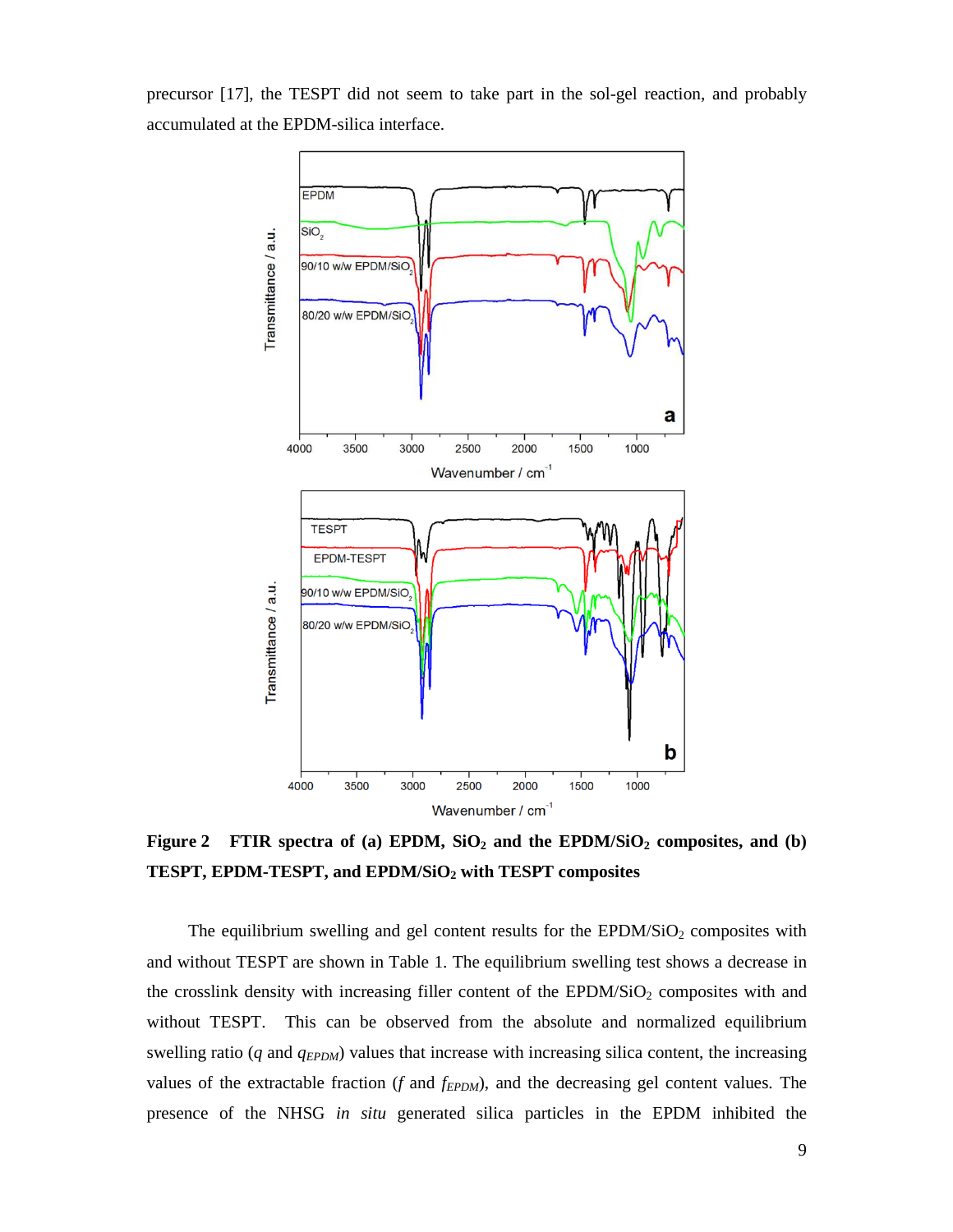precursor [17], the TESPT did not seem to take part in the sol-gel reaction, and probably accumulated at the EPDM-silica interface.



**Figure 2 FTIR spectra of (a) EPDM, SiO2 and the EPDM/SiO2 composites, and (b) TESPT, EPDM-TESPT, and EPDM/SiO2 with TESPT composites** 

The equilibrium swelling and gel content results for the  $EPDM/SiO<sub>2</sub>$  composites with and without TESPT are shown in Table 1. The equilibrium swelling test shows a decrease in the crosslink density with increasing filler content of the EPDM/SiO<sub>2</sub> composites with and without TESPT. This can be observed from the absolute and normalized equilibrium swelling ratio (*q* and *q*<sub>*EPDM*</sub>) values that increase with increasing silica content, the increasing values of the extractable fraction (*f* and *fEPDM*), and the decreasing gel content values. The presence of the NHSG *in situ* generated silica particles in the EPDM inhibited the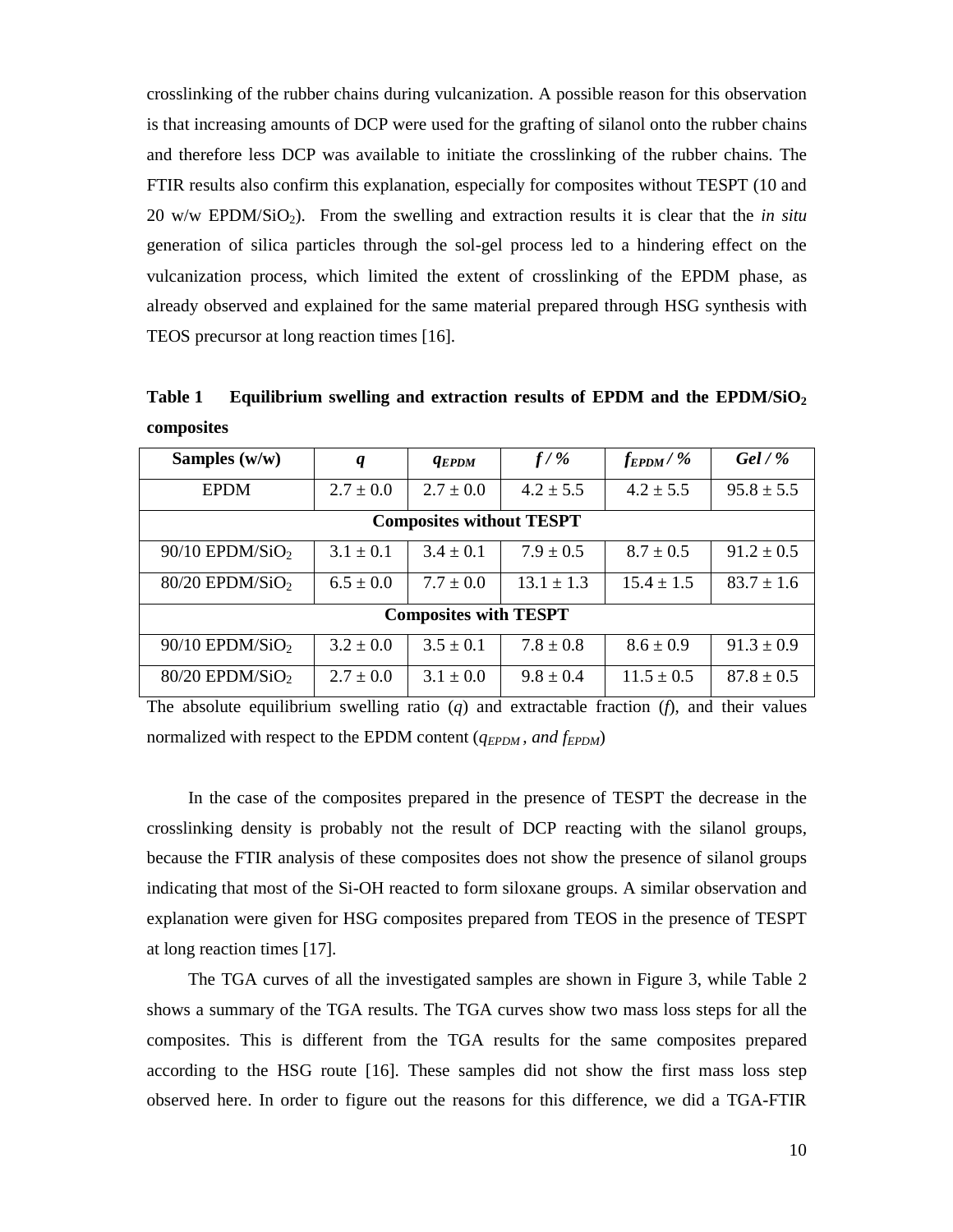crosslinking of the rubber chains during vulcanization. A possible reason for this observation is that increasing amounts of DCP were used for the grafting of silanol onto the rubber chains and therefore less DCP was available to initiate the crosslinking of the rubber chains. The FTIR results also confirm this explanation, especially for composites without TESPT (10 and 20 w/w EPDM/SiO2). From the swelling and extraction results it is clear that the *in situ* generation of silica particles through the sol-gel process led to a hindering effect on the vulcanization process, which limited the extent of crosslinking of the EPDM phase, as already observed and explained for the same material prepared through HSG synthesis with TEOS precursor at long reaction times [16].

| Samples $(w/w)$                 | q             | <b>AEPDM</b>  | $f/$ %         | $f_{E PDM}/\%$ | Gel $/$ %      |  |
|---------------------------------|---------------|---------------|----------------|----------------|----------------|--|
| <b>EPDM</b>                     | $2.7 \pm 0.0$ | $2.7 \pm 0.0$ | $4.2 \pm 5.5$  | $4.2 \pm 5.5$  | $95.8 \pm 5.5$ |  |
| <b>Composites without TESPT</b> |               |               |                |                |                |  |
| $90/10$ EPDM/SiO <sub>2</sub>   | $3.1 \pm 0.1$ | $3.4 \pm 0.1$ | $7.9 \pm 0.5$  | $8.7 \pm 0.5$  | $91.2 \pm 0.5$ |  |
| $80/20$ EPDM/SiO <sub>2</sub>   | $6.5 \pm 0.0$ | $7.7 \pm 0.0$ | $13.1 \pm 1.3$ | $15.4 \pm 1.5$ | $83.7 \pm 1.6$ |  |
| <b>Composites with TESPT</b>    |               |               |                |                |                |  |
| $90/10$ EPDM/SiO <sub>2</sub>   | $3.2 \pm 0.0$ | $3.5 \pm 0.1$ | $7.8 \pm 0.8$  | $8.6 \pm 0.9$  | $91.3 \pm 0.9$ |  |
| $80/20$ EPDM/SiO <sub>2</sub>   | $2.7 \pm 0.0$ | $3.1 \pm 0.0$ | $9.8 \pm 0.4$  | $11.5 \pm 0.5$ | $87.8 \pm 0.5$ |  |

**Table 1 Equilibrium swelling and extraction results of EPDM and the EPDM/SiO<sup>2</sup> composites**

The absolute equilibrium swelling ratio (*q*) and extractable fraction (*f*), and their values normalized with respect to the EPDM content (*qEPDM , and fEPDM*)

In the case of the composites prepared in the presence of TESPT the decrease in the crosslinking density is probably not the result of DCP reacting with the silanol groups, because the FTIR analysis of these composites does not show the presence of silanol groups indicating that most of the Si-OH reacted to form siloxane groups. A similar observation and explanation were given for HSG composites prepared from TEOS in the presence of TESPT at long reaction times [17].

The TGA curves of all the investigated samples are shown in Figure 3, while Table 2 shows a summary of the TGA results. The TGA curves show two mass loss steps for all the composites. This is different from the TGA results for the same composites prepared according to the HSG route [16]. These samples did not show the first mass loss step observed here. In order to figure out the reasons for this difference, we did a TGA-FTIR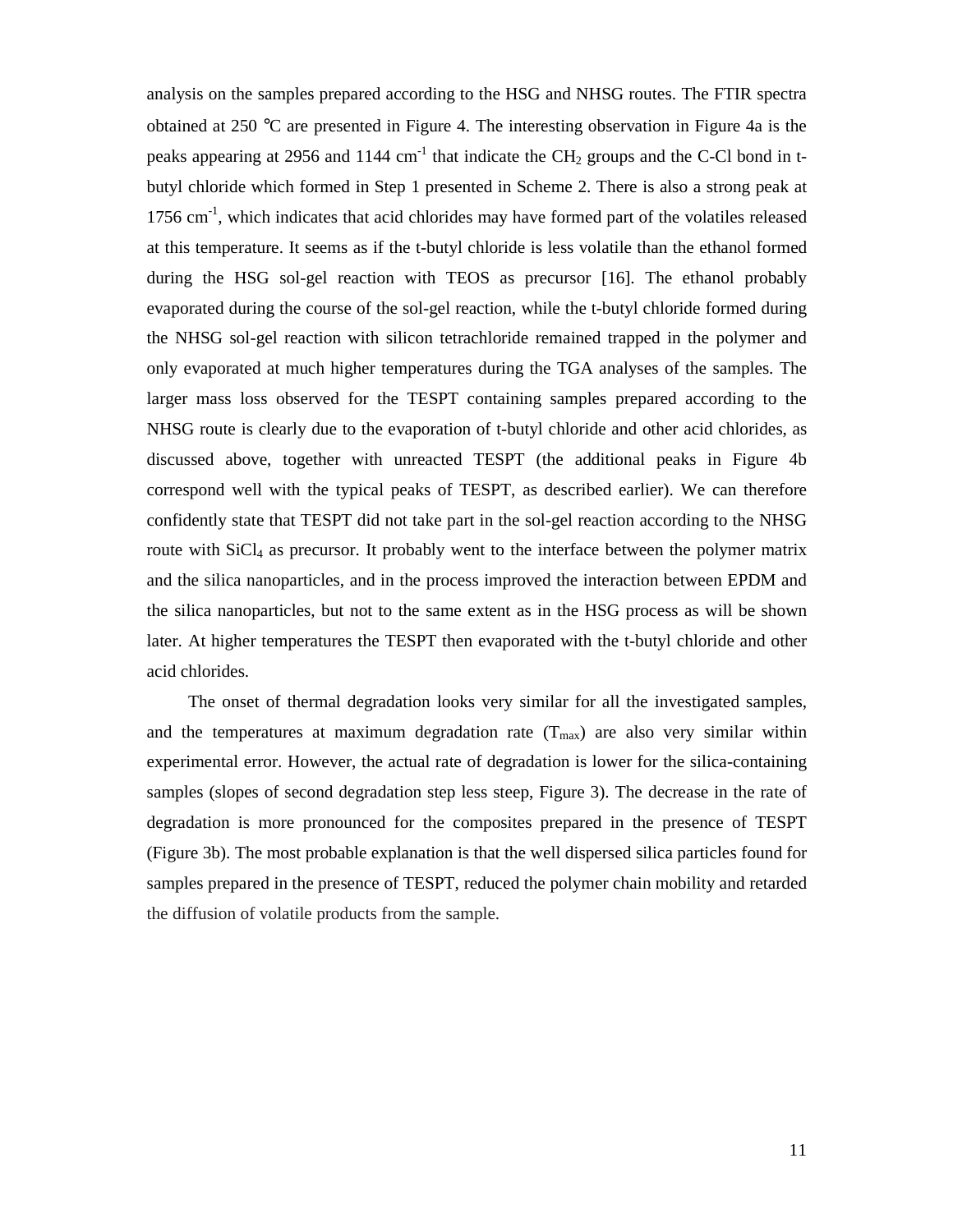analysis on the samples prepared according to the HSG and NHSG routes. The FTIR spectra obtained at 250 °C are presented in Figure 4. The interesting observation in Figure 4a is the peaks appearing at 2956 and 1144 cm<sup>-1</sup> that indicate the CH<sub>2</sub> groups and the C-Cl bond in tbutyl chloride which formed in Step 1 presented in Scheme 2. There is also a strong peak at 1756 cm $^{-1}$ , which indicates that acid chlorides may have formed part of the volatiles released at this temperature. It seems as if the t-butyl chloride is less volatile than the ethanol formed during the HSG sol-gel reaction with TEOS as precursor [16]. The ethanol probably evaporated during the course of the sol-gel reaction, while the t-butyl chloride formed during the NHSG sol-gel reaction with silicon tetrachloride remained trapped in the polymer and only evaporated at much higher temperatures during the TGA analyses of the samples. The larger mass loss observed for the TESPT containing samples prepared according to the NHSG route is clearly due to the evaporation of t-butyl chloride and other acid chlorides, as discussed above, together with unreacted TESPT (the additional peaks in Figure 4b correspond well with the typical peaks of TESPT, as described earlier). We can therefore confidently state that TESPT did not take part in the sol-gel reaction according to the NHSG route with SiCl<sub>4</sub> as precursor. It probably went to the interface between the polymer matrix and the silica nanoparticles, and in the process improved the interaction between EPDM and the silica nanoparticles, but not to the same extent as in the HSG process as will be shown later. At higher temperatures the TESPT then evaporated with the t-butyl chloride and other acid chlorides.

The onset of thermal degradation looks very similar for all the investigated samples, and the temperatures at maximum degradation rate  $(T_{max})$  are also very similar within experimental error. However, the actual rate of degradation is lower for the silica-containing samples (slopes of second degradation step less steep, Figure 3). The decrease in the rate of degradation is more pronounced for the composites prepared in the presence of TESPT (Figure 3b). The most probable explanation is that the well dispersed silica particles found for samples prepared in the presence of TESPT, reduced the polymer chain mobility and retarded the diffusion of volatile products from the sample.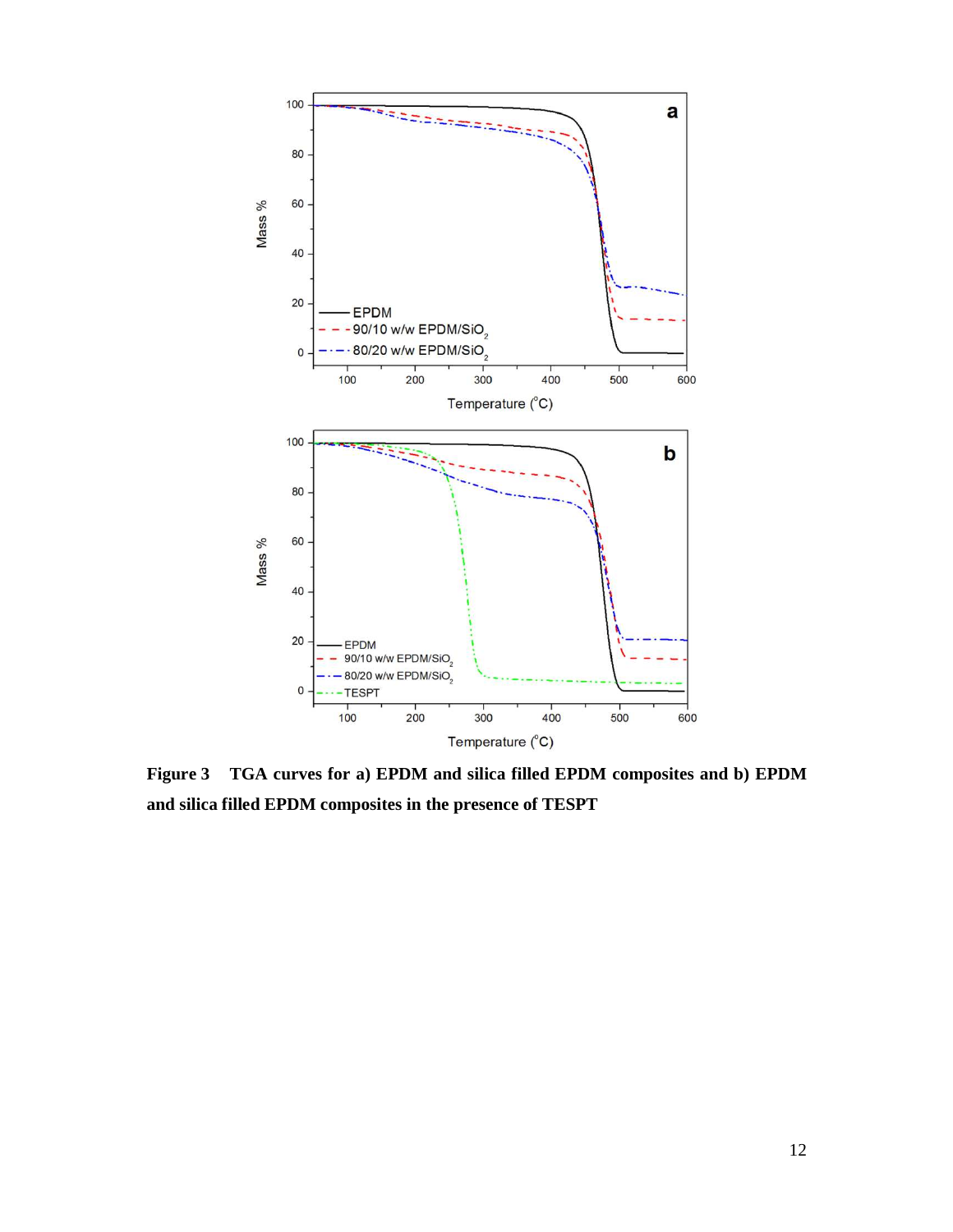

**Figure 3 TGA curves for a) EPDM and silica filled EPDM composites and b) EPDM and silica filled EPDM composites in the presence of TESPT**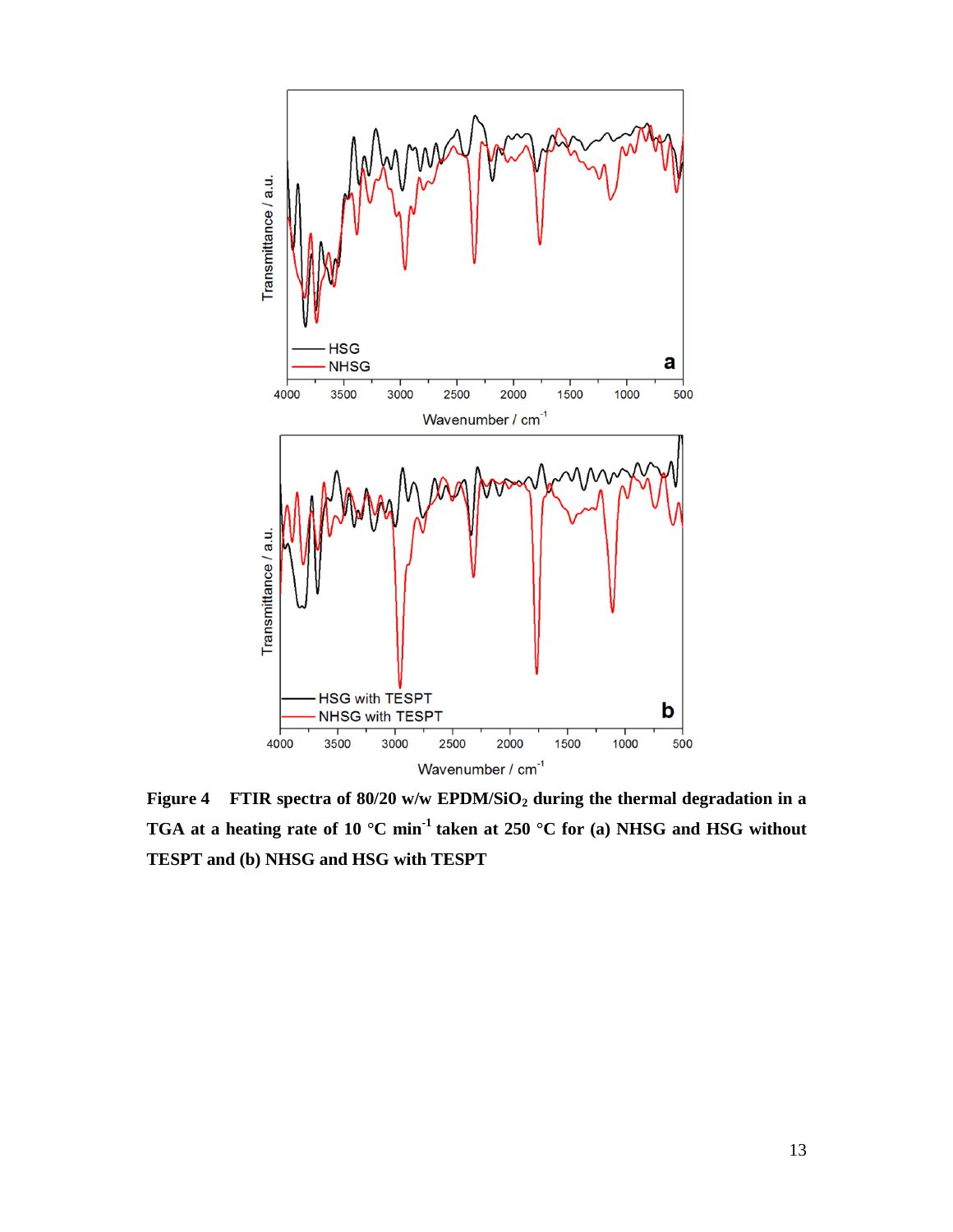

**Figure 4 FTIR spectra of 80/20 w/w EPDM/SiO2 during the thermal degradation in a TGA at a heating rate of 10 °C min-1 taken at 250 °C for (a) NHSG and HSG without TESPT and (b) NHSG and HSG with TESPT**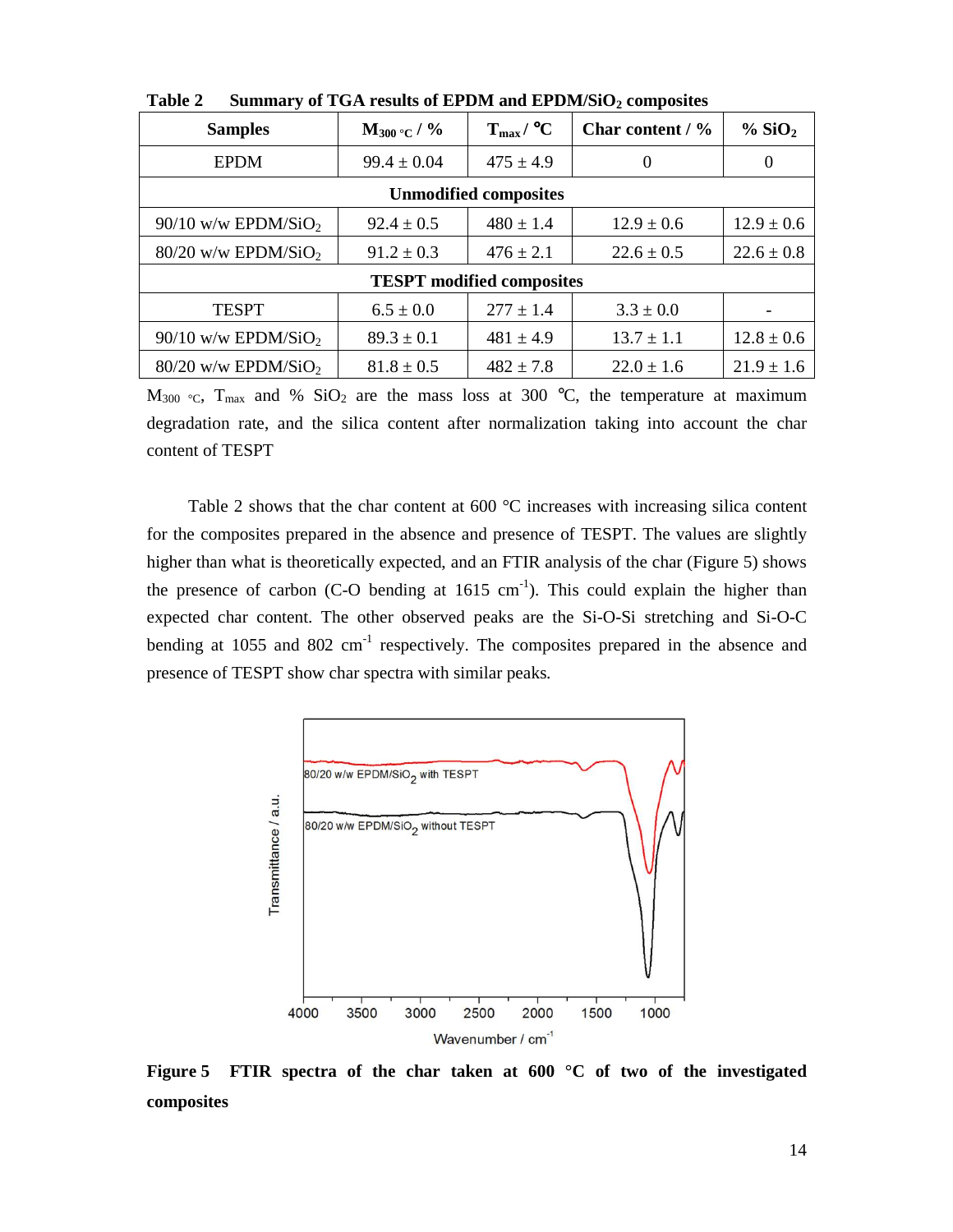| <b>Samples</b>                    | $M_{300}$ °C / % | $T_{\rm max}$ / °C | Char content $/$ % | % SiO <sub>2</sub> |  |  |
|-----------------------------------|------------------|--------------------|--------------------|--------------------|--|--|
| <b>EPDM</b>                       | $99.4 \pm 0.04$  | $475 \pm 4.9$      | $\Omega$           | $\Omega$           |  |  |
| <b>Unmodified composites</b>      |                  |                    |                    |                    |  |  |
| $90/10$ w/w EPDM/SiO <sub>2</sub> | $92.4 \pm 0.5$   | $480 \pm 1.4$      | $12.9 \pm 0.6$     | $12.9 \pm 0.6$     |  |  |
| $80/20$ w/w EPDM/SiO <sub>2</sub> | $91.2 \pm 0.3$   | $476 \pm 2.1$      | $22.6 \pm 0.5$     | $22.6 \pm 0.8$     |  |  |
| <b>TESPT</b> modified composites  |                  |                    |                    |                    |  |  |
| <b>TESPT</b>                      | $6.5 \pm 0.0$    | $277 \pm 1.4$      | $3.3 \pm 0.0$      |                    |  |  |
| $90/10$ w/w EPDM/SiO <sub>2</sub> | $89.3 \pm 0.1$   | $481 \pm 4.9$      | $13.7 \pm 1.1$     | $12.8 \pm 0.6$     |  |  |
| $80/20$ w/w EPDM/SiO <sub>2</sub> | $81.8 \pm 0.5$   | $482 \pm 7.8$      | $22.0 \pm 1.6$     | $21.9 \pm 1.6$     |  |  |

**Table 2 Summary of TGA results of EPDM and EPDM/SiO2 composites** 

 $M_{300}$  °C,  $T_{\text{max}}$  and % SiO<sub>2</sub> are the mass loss at 300 °C, the temperature at maximum degradation rate, and the silica content after normalization taking into account the char content of TESPT

Table 2 shows that the char content at 600 °C increases with increasing silica content for the composites prepared in the absence and presence of TESPT. The values are slightly higher than what is theoretically expected, and an FTIR analysis of the char (Figure 5) shows the presence of carbon (C-O bending at  $1615 \text{ cm}^{-1}$ ). This could explain the higher than expected char content. The other observed peaks are the Si-O-Si stretching and Si-O-C bending at  $1055$  and  $802 \text{ cm}^{-1}$  respectively. The composites prepared in the absence and presence of TESPT show char spectra with similar peaks.



**Figure 5 FTIR spectra of the char taken at 600 °C of two of the investigated composites**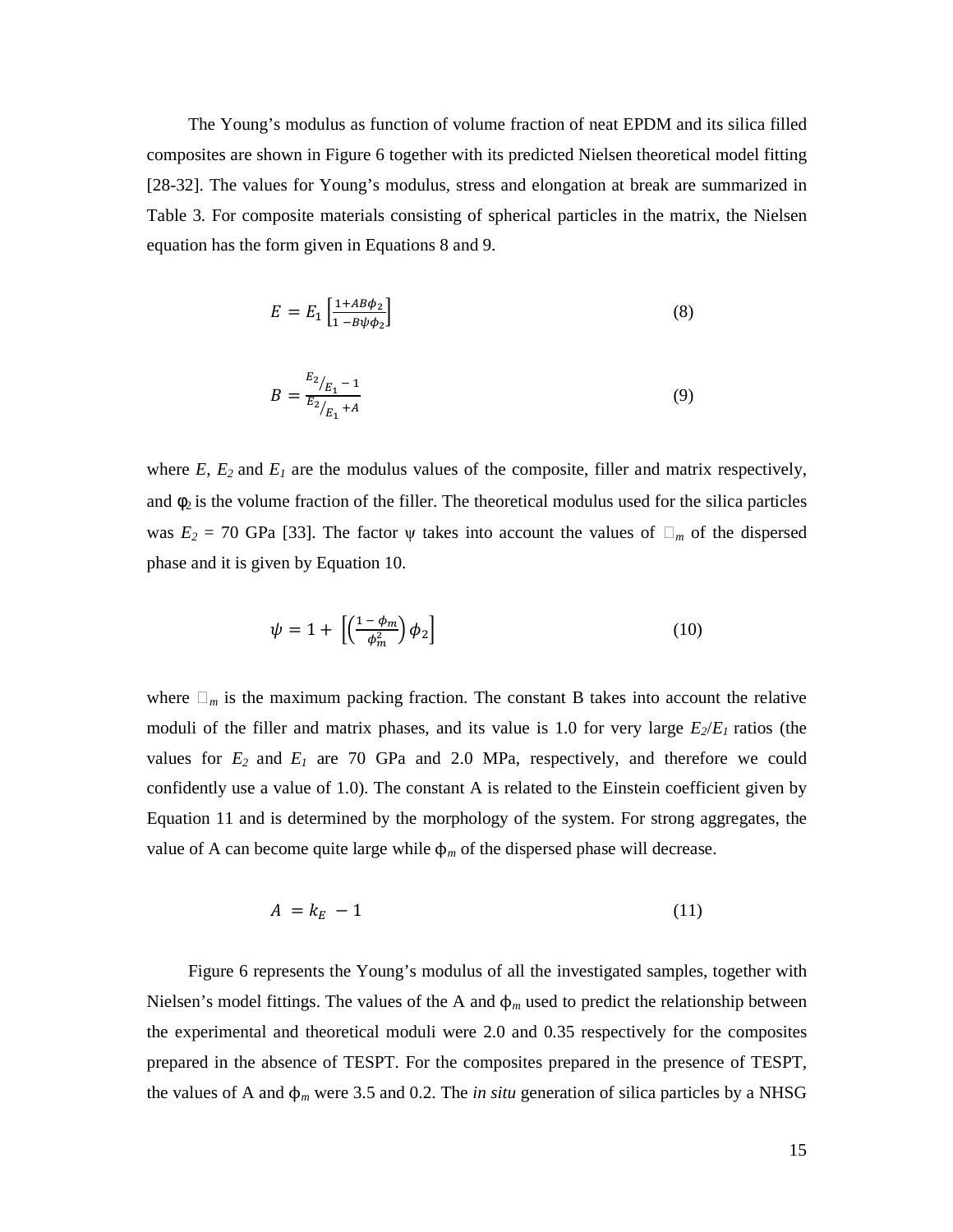The Young's modulus as function of volume fraction of neat EPDM and its silica filled composites are shown in Figure 6 together with its predicted Nielsen theoretical model fitting [28-32]. The values for Young's modulus, stress and elongation at break are summarized in Table 3. For composite materials consisting of spherical particles in the matrix, the Nielsen equation has the form given in Equations 8 and 9.

$$
E = E_1 \left[ \frac{1 + AB\phi_2}{1 - B\psi\phi_2} \right] \tag{8}
$$

$$
B = \frac{E_2}{E_2/_{E_1} + A} \tag{9}
$$

where  $E$ ,  $E_2$  and  $E_1$  are the modulus values of the composite, filler and matrix respectively, and  $\phi_2$  is the volume fraction of the filler. The theoretical modulus used for the silica particles was  $E_2 = 70$  GPa [33]. The factor  $\psi$  takes into account the values of  $\Box_m$  of the dispersed phase and it is given by Equation 10.

$$
\psi = 1 + \left[ \left( \frac{1 - \phi_m}{\phi_m^2} \right) \phi_2 \right] \tag{10}
$$

where  $\Box_m$  is the maximum packing fraction. The constant B takes into account the relative moduli of the filler and matrix phases, and its value is 1.0 for very large *E2*/*E1* ratios (the values for  $E_2$  and  $E_1$  are 70 GPa and 2.0 MPa, respectively, and therefore we could confidently use a value of 1.0). The constant A is related to the Einstein coefficient given by Equation 11 and is determined by the morphology of the system. For strong aggregates, the value of A can become quite large while  $\phi_m$  of the dispersed phase will decrease.

$$
A = k_E - 1 \tag{11}
$$

Figure 6 represents the Young's modulus of all the investigated samples, together with Nielsen's model fittings. The values of the A and  $\phi_m$  used to predict the relationship between the experimental and theoretical moduli were 2.0 and 0.35 respectively for the composites prepared in the absence of TESPT. For the composites prepared in the presence of TESPT, the values of A and ϕ*m* were 3.5 and 0.2. The *in situ* generation of silica particles by a NHSG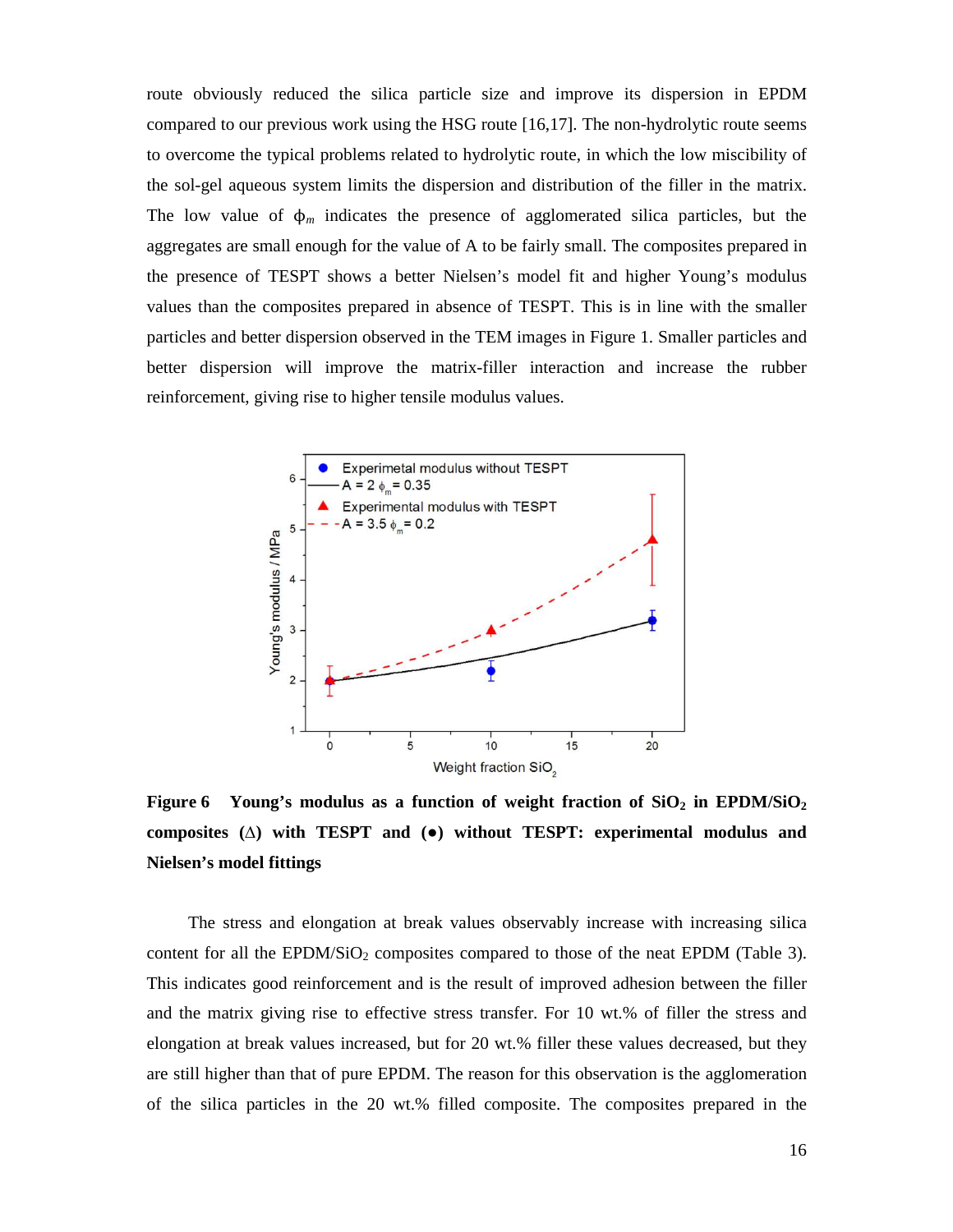route obviously reduced the silica particle size and improve its dispersion in EPDM compared to our previous work using the HSG route [16,17]. The non-hydrolytic route seems to overcome the typical problems related to hydrolytic route, in which the low miscibility of the sol-gel aqueous system limits the dispersion and distribution of the filler in the matrix. The low value of ϕ*m* indicates the presence of agglomerated silica particles, but the aggregates are small enough for the value of A to be fairly small. The composites prepared in the presence of TESPT shows a better Nielsen's model fit and higher Young's modulus values than the composites prepared in absence of TESPT. This is in line with the smaller particles and better dispersion observed in the TEM images in Figure 1. Smaller particles and better dispersion will improve the matrix-filler interaction and increase the rubber reinforcement, giving rise to higher tensile modulus values.



**Figure 6** Young's modulus as a function of weight fraction of  $SiO<sub>2</sub>$  in EPDM/SiO<sub>2</sub> **composites (**∆**) with TESPT and (**●**) without TESPT: experimental modulus and Nielsen's model fittings**

 The stress and elongation at break values observably increase with increasing silica content for all the EPDM/SiO<sub>2</sub> composites compared to those of the neat EPDM (Table 3). This indicates good reinforcement and is the result of improved adhesion between the filler and the matrix giving rise to effective stress transfer. For 10 wt.% of filler the stress and elongation at break values increased, but for 20 wt.% filler these values decreased, but they are still higher than that of pure EPDM. The reason for this observation is the agglomeration of the silica particles in the 20 wt.% filled composite. The composites prepared in the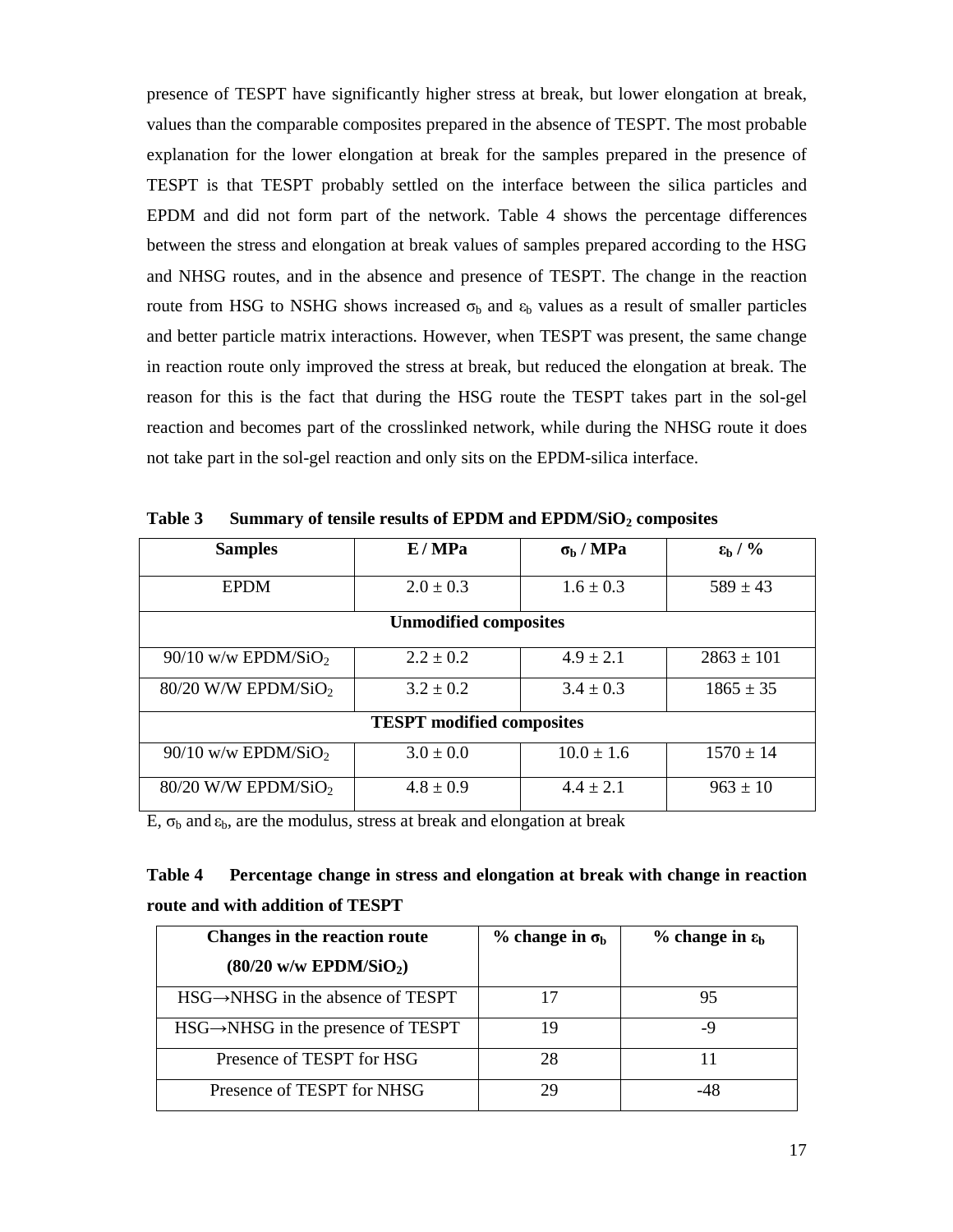presence of TESPT have significantly higher stress at break, but lower elongation at break, values than the comparable composites prepared in the absence of TESPT. The most probable explanation for the lower elongation at break for the samples prepared in the presence of TESPT is that TESPT probably settled on the interface between the silica particles and EPDM and did not form part of the network. Table 4 shows the percentage differences between the stress and elongation at break values of samples prepared according to the HSG and NHSG routes, and in the absence and presence of TESPT. The change in the reaction route from HSG to NSHG shows increased  $\sigma_b$  and  $\epsilon_b$  values as a result of smaller particles and better particle matrix interactions. However, when TESPT was present, the same change in reaction route only improved the stress at break, but reduced the elongation at break. The reason for this is the fact that during the HSG route the TESPT takes part in the sol-gel reaction and becomes part of the crosslinked network, while during the NHSG route it does not take part in the sol-gel reaction and only sits on the EPDM-silica interface.

| <b>Samples</b>                    | E/MPa         | $\sigma_{\rm b}$ / MPa | $\epsilon_{\rm h}$ / % |  |
|-----------------------------------|---------------|------------------------|------------------------|--|
| <b>EPDM</b>                       | $2.0 \pm 0.3$ | $1.6 \pm 0.3$          | $589 \pm 43$           |  |
| <b>Unmodified composites</b>      |               |                        |                        |  |
| $90/10$ w/w EPDM/SiO <sub>2</sub> | $2.2 \pm 0.2$ | $4.9 \pm 2.1$          | $2863 \pm 101$         |  |
| $80/20$ W/W EPDM/SiO <sub>2</sub> | $3.2 \pm 0.2$ | $3.4 \pm 0.3$          | $1865 \pm 35$          |  |
| <b>TESPT</b> modified composites  |               |                        |                        |  |
| $90/10$ w/w EPDM/SiO <sub>2</sub> | $3.0 \pm 0.0$ | $10.0 \pm 1.6$         | $1570 \pm 14$          |  |
| $80/20$ W/W EPDM/SiO <sub>2</sub> | $4.8 \pm 0.9$ | $4.4 \pm 2.1$          | $963 \pm 10$           |  |

**Table 3 Summary of tensile results of EPDM and EPDM/SiO2 composites** 

E,  $\sigma_b$  and  $\varepsilon_b$ , are the modulus, stress at break and elongation at break

# **Table 4 Percentage change in stress and elongation at break with change in reaction route and with addition of TESPT**

| <b>Changes in the reaction route</b>            | $%$ change in $\sigma_{h}$ | $%$ change in $\varepsilon_b$ |
|-------------------------------------------------|----------------------------|-------------------------------|
| $(80/20 \text{ w/w EPDM/SiO}_2)$                |                            |                               |
| $HSG \rightarrow NHSG$ in the absence of TESPT  |                            | 95                            |
| $HSG \rightarrow NHSG$ in the presence of TESPT | 19                         | -9                            |
| Presence of TESPT for HSG                       | 28                         |                               |
| Presence of TESPT for NHSG                      | 29                         | -4×                           |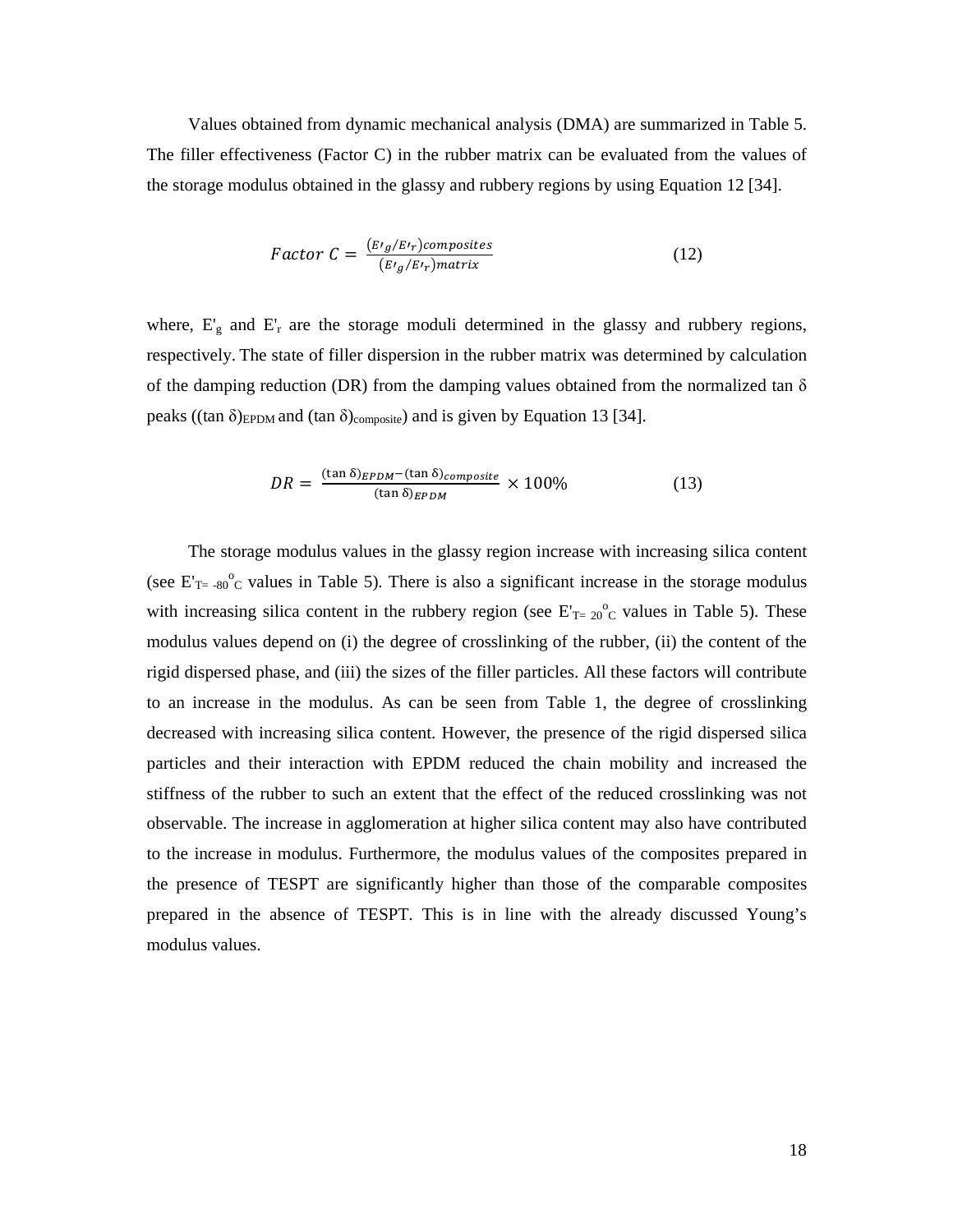Values obtained from dynamic mechanical analysis (DMA) are summarized in Table 5. The filler effectiveness (Factor C) in the rubber matrix can be evaluated from the values of the storage modulus obtained in the glassy and rubbery regions by using Equation 12 [34].

Factor 
$$
C = \frac{(E t_g/E t_r) \text{composites}}{(E t_g/E t_r) \text{matrix}}
$$
 (12)

where,  $E_g$  and  $E_r$  are the storage moduli determined in the glassy and rubbery regions, respectively. The state of filler dispersion in the rubber matrix was determined by calculation of the damping reduction (DR) from the damping values obtained from the normalized tan  $\delta$ peaks ((tan  $\delta$ )<sub>EPDM</sub> and (tan  $\delta$ )<sub>composite</sub>) and is given by Equation 13 [34].

$$
DR = \frac{(\tan \delta)_{EPDM} - (\tan \delta)_{composite}}{(\tan \delta)_{EPDM}} \times 100\%
$$
 (13)

The storage modulus values in the glassy region increase with increasing silica content (see  $E_{T=-80}^{\circ}$  values in Table 5). There is also a significant increase in the storage modulus with increasing silica content in the rubbery region (see  $E_{T=20}^{\circ}$  values in Table 5). These modulus values depend on (i) the degree of crosslinking of the rubber, (ii) the content of the rigid dispersed phase, and (iii) the sizes of the filler particles. All these factors will contribute to an increase in the modulus. As can be seen from Table 1, the degree of crosslinking decreased with increasing silica content. However, the presence of the rigid dispersed silica particles and their interaction with EPDM reduced the chain mobility and increased the stiffness of the rubber to such an extent that the effect of the reduced crosslinking was not observable. The increase in agglomeration at higher silica content may also have contributed to the increase in modulus. Furthermore, the modulus values of the composites prepared in the presence of TESPT are significantly higher than those of the comparable composites prepared in the absence of TESPT. This is in line with the already discussed Young's modulus values.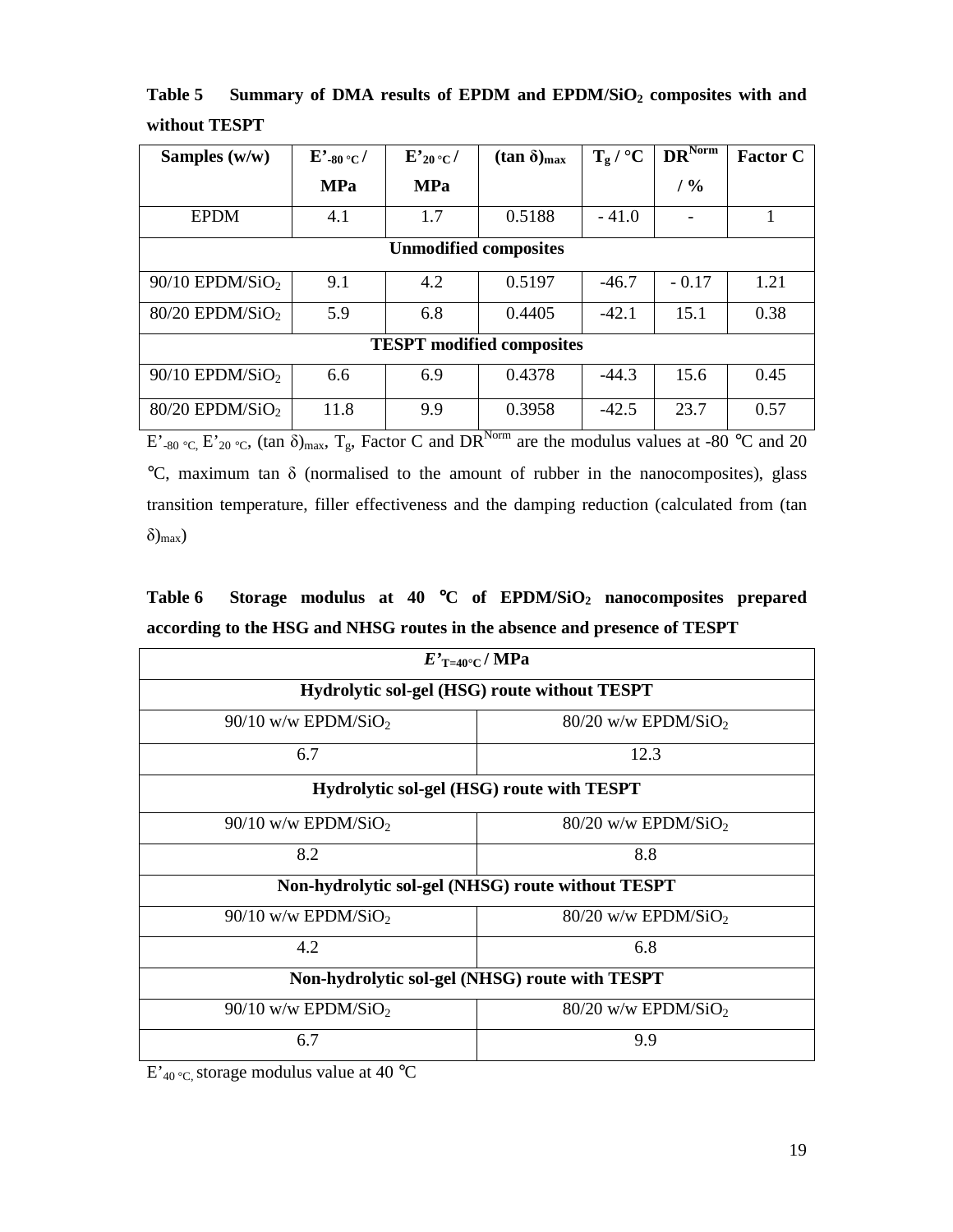| Samples $(w/w)$                  | $E^{\prime}$ -80 °C / | $E'_{20}$ °C / | $(\tan \delta)_{\text{max}}$ | $T_g / {}^{\circ}C$ | $DR^{\overline{\text{Norm}}}$ | <b>Factor C</b> |
|----------------------------------|-----------------------|----------------|------------------------------|---------------------|-------------------------------|-----------------|
|                                  | <b>MPa</b>            | <b>MPa</b>     |                              |                     | / 9/0                         |                 |
| <b>EPDM</b>                      | 4.1                   | 1.7            | 0.5188                       | $-41.0$             |                               | 1               |
| <b>Unmodified composites</b>     |                       |                |                              |                     |                               |                 |
| $90/10$ EPDM/SiO <sub>2</sub>    | 9.1                   | 4.2            | 0.5197                       | $-46.7$             | $-0.17$                       | 1.21            |
| $80/20$ EPDM/SiO <sub>2</sub>    | 5.9                   | 6.8            | 0.4405                       | $-42.1$             | 15.1                          | 0.38            |
| <b>TESPT</b> modified composites |                       |                |                              |                     |                               |                 |
| $90/10$ EPDM/SiO <sub>2</sub>    | 6.6                   | 6.9            | 0.4378                       | $-44.3$             | 15.6                          | 0.45            |
| $80/20$ EPDM/SiO <sub>2</sub>    | 11.8                  | 9.9            | 0.3958<br>$\mathbf{X}$ T     | $-42.5$             | 23.7                          | 0.57            |

**Table 5 Summary of DMA results of EPDM and EPDM/SiO2 composites with and without TESPT** 

E'-80 °C, E'20 °C, (tan  $\delta$ )<sub>max</sub>, T<sub>g</sub>, Factor C and DR<sup>Norm</sup> are the modulus values at -80 °C and 20 °C, maximum tan δ (normalised to the amount of rubber in the nanocomposites), glass transition temperature, filler effectiveness and the damping reduction (calculated from (tan  $\delta$ <sub>max</sub>)

**Table 6 Storage modulus at 40** °**C of EPDM/SiO2 nanocomposites prepared according to the HSG and NHSG routes in the absence and presence of TESPT** 

| $E'_{\text{T=40}^{\circ}\text{C}}/ \text{MPa}$    |                                   |  |  |  |
|---------------------------------------------------|-----------------------------------|--|--|--|
| Hydrolytic sol-gel (HSG) route without TESPT      |                                   |  |  |  |
| $90/10$ w/w EPDM/SiO <sub>2</sub>                 | $80/20$ w/w EPDM/SiO <sub>2</sub> |  |  |  |
| 6.7                                               | 12.3                              |  |  |  |
| Hydrolytic sol-gel (HSG) route with TESPT         |                                   |  |  |  |
| $90/10$ w/w EPDM/SiO <sub>2</sub>                 | $80/20$ w/w EPDM/SiO <sub>2</sub> |  |  |  |
| 8.2                                               | 8.8                               |  |  |  |
| Non-hydrolytic sol-gel (NHSG) route without TESPT |                                   |  |  |  |
| $90/10$ w/w EPDM/SiO <sub>2</sub>                 | $80/20$ w/w EPDM/SiO <sub>2</sub> |  |  |  |
| 4.2                                               | 6.8                               |  |  |  |
| Non-hydrolytic sol-gel (NHSG) route with TESPT    |                                   |  |  |  |
| $90/10$ w/w EPDM/SiO <sub>2</sub>                 | $80/20$ w/w EPDM/SiO <sub>2</sub> |  |  |  |
| 6.7                                               | 9.9                               |  |  |  |

 $E'_{40\degree C}$  storage modulus value at 40  $\degree C$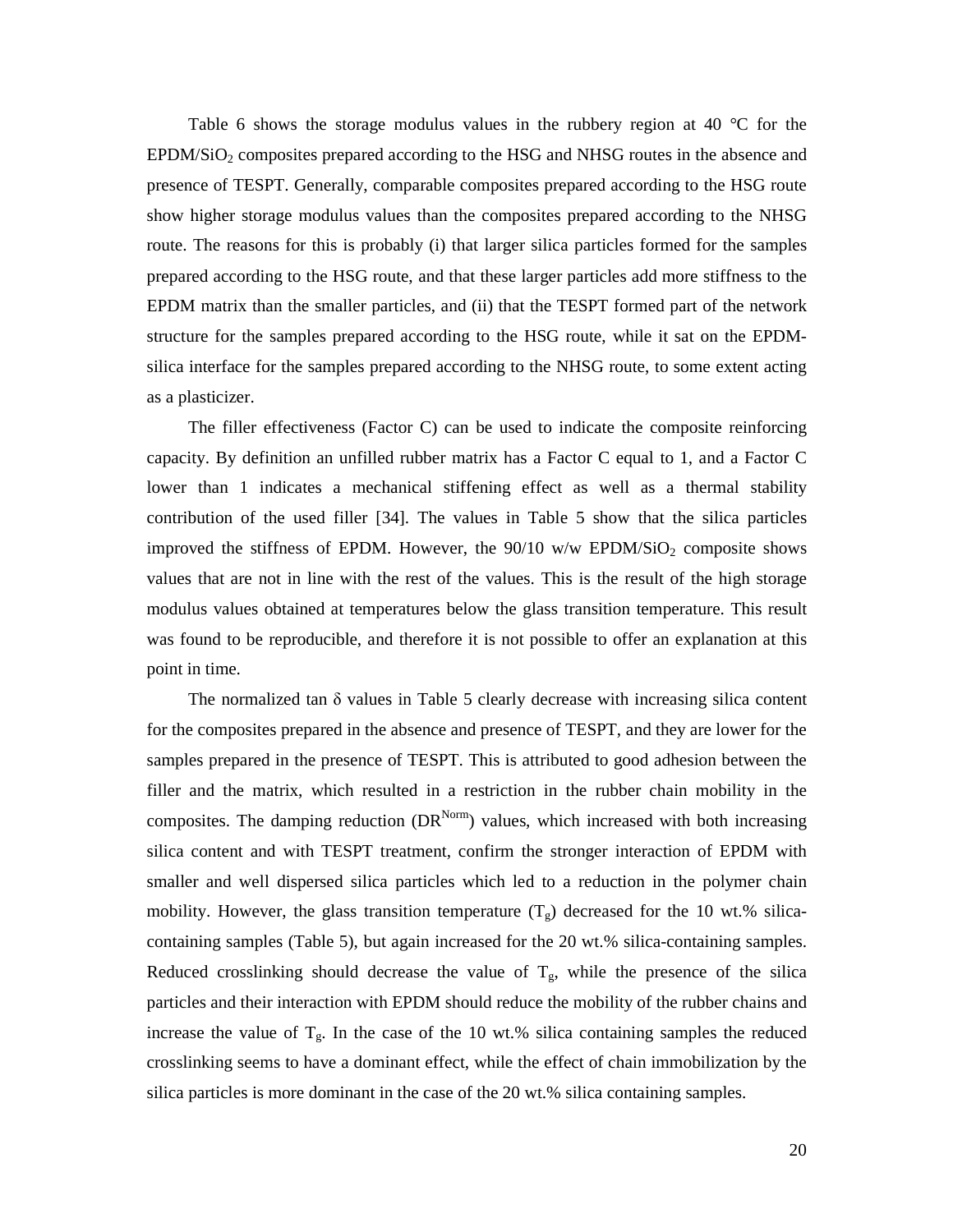Table 6 shows the storage modulus values in the rubbery region at 40 °C for the  $E\text{PDM}/\text{SiO}_2$  composites prepared according to the HSG and NHSG routes in the absence and presence of TESPT. Generally, comparable composites prepared according to the HSG route show higher storage modulus values than the composites prepared according to the NHSG route. The reasons for this is probably (i) that larger silica particles formed for the samples prepared according to the HSG route, and that these larger particles add more stiffness to the EPDM matrix than the smaller particles, and (ii) that the TESPT formed part of the network structure for the samples prepared according to the HSG route, while it sat on the EPDMsilica interface for the samples prepared according to the NHSG route, to some extent acting as a plasticizer.

 The filler effectiveness (Factor C) can be used to indicate the composite reinforcing capacity. By definition an unfilled rubber matrix has a Factor C equal to 1, and a Factor C lower than 1 indicates a mechanical stiffening effect as well as a thermal stability contribution of the used filler [34]. The values in Table 5 show that the silica particles improved the stiffness of EPDM. However, the  $90/10$  w/w EPDM/SiO<sub>2</sub> composite shows values that are not in line with the rest of the values. This is the result of the high storage modulus values obtained at temperatures below the glass transition temperature. This result was found to be reproducible, and therefore it is not possible to offer an explanation at this point in time.

The normalized tan  $\delta$  values in Table 5 clearly decrease with increasing silica content for the composites prepared in the absence and presence of TESPT, and they are lower for the samples prepared in the presence of TESPT. This is attributed to good adhesion between the filler and the matrix, which resulted in a restriction in the rubber chain mobility in the composites. The damping reduction  $(DR^{Norm})$  values, which increased with both increasing silica content and with TESPT treatment, confirm the stronger interaction of EPDM with smaller and well dispersed silica particles which led to a reduction in the polymer chain mobility. However, the glass transition temperature  $(T_g)$  decreased for the 10 wt.% silicacontaining samples (Table 5), but again increased for the 20 wt.% silica-containing samples. Reduced crosslinking should decrease the value of  $T_g$ , while the presence of the silica particles and their interaction with EPDM should reduce the mobility of the rubber chains and increase the value of  $T_g$ . In the case of the 10 wt.% silica containing samples the reduced crosslinking seems to have a dominant effect, while the effect of chain immobilization by the silica particles is more dominant in the case of the 20 wt.% silica containing samples.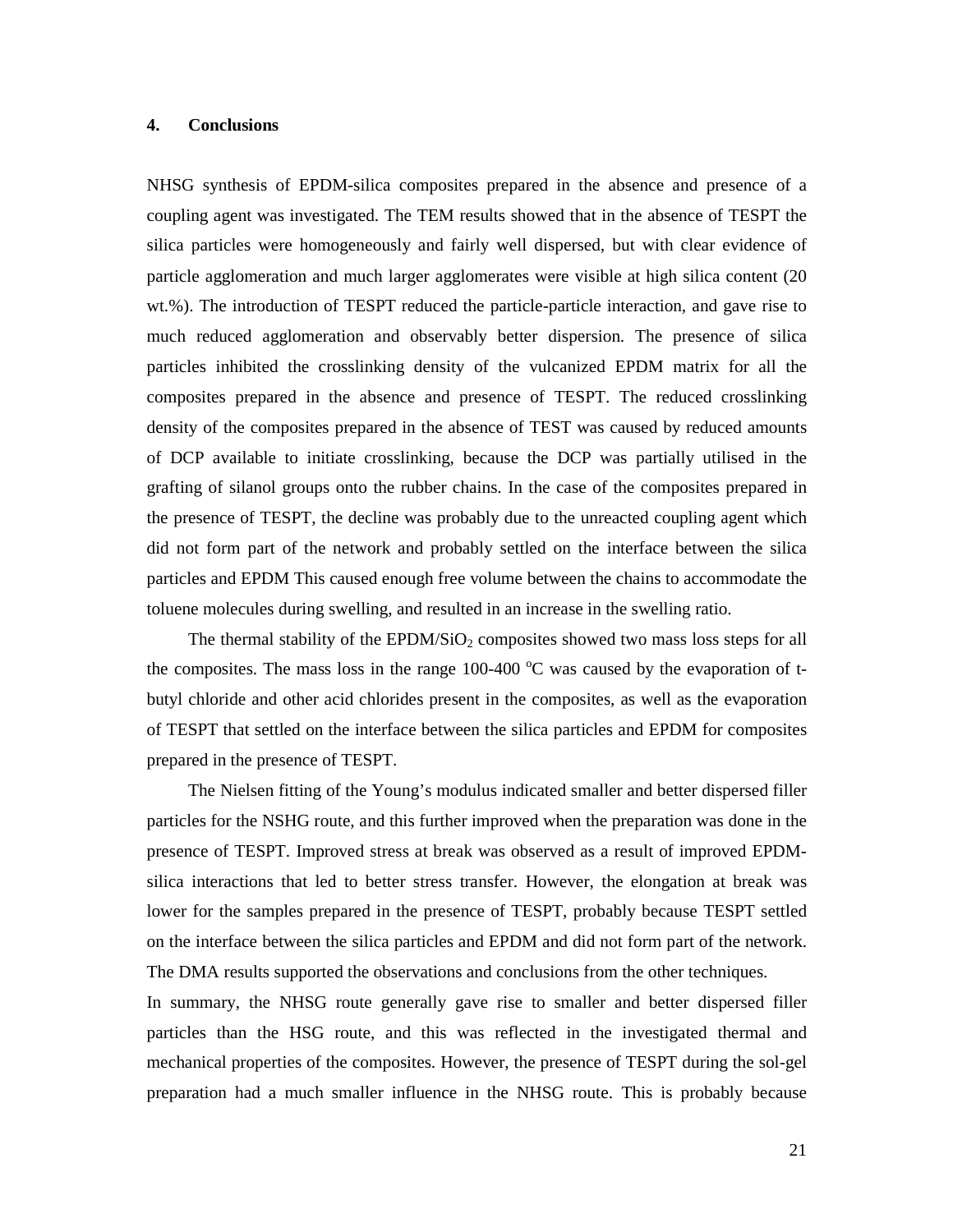#### **4. Conclusions**

NHSG synthesis of EPDM-silica composites prepared in the absence and presence of a coupling agent was investigated. The TEM results showed that in the absence of TESPT the silica particles were homogeneously and fairly well dispersed, but with clear evidence of particle agglomeration and much larger agglomerates were visible at high silica content (20 wt.%). The introduction of TESPT reduced the particle-particle interaction, and gave rise to much reduced agglomeration and observably better dispersion. The presence of silica particles inhibited the crosslinking density of the vulcanized EPDM matrix for all the composites prepared in the absence and presence of TESPT. The reduced crosslinking density of the composites prepared in the absence of TEST was caused by reduced amounts of DCP available to initiate crosslinking, because the DCP was partially utilised in the grafting of silanol groups onto the rubber chains. In the case of the composites prepared in the presence of TESPT, the decline was probably due to the unreacted coupling agent which did not form part of the network and probably settled on the interface between the silica particles and EPDM This caused enough free volume between the chains to accommodate the toluene molecules during swelling, and resulted in an increase in the swelling ratio.

The thermal stability of the EPDM/SiO<sub>2</sub> composites showed two mass loss steps for all the composites. The mass loss in the range 100-400  $\degree$ C was caused by the evaporation of tbutyl chloride and other acid chlorides present in the composites, as well as the evaporation of TESPT that settled on the interface between the silica particles and EPDM for composites prepared in the presence of TESPT.

 The Nielsen fitting of the Young's modulus indicated smaller and better dispersed filler particles for the NSHG route, and this further improved when the preparation was done in the presence of TESPT. Improved stress at break was observed as a result of improved EPDMsilica interactions that led to better stress transfer. However, the elongation at break was lower for the samples prepared in the presence of TESPT, probably because TESPT settled on the interface between the silica particles and EPDM and did not form part of the network. The DMA results supported the observations and conclusions from the other techniques.

In summary, the NHSG route generally gave rise to smaller and better dispersed filler particles than the HSG route, and this was reflected in the investigated thermal and mechanical properties of the composites. However, the presence of TESPT during the sol-gel preparation had a much smaller influence in the NHSG route. This is probably because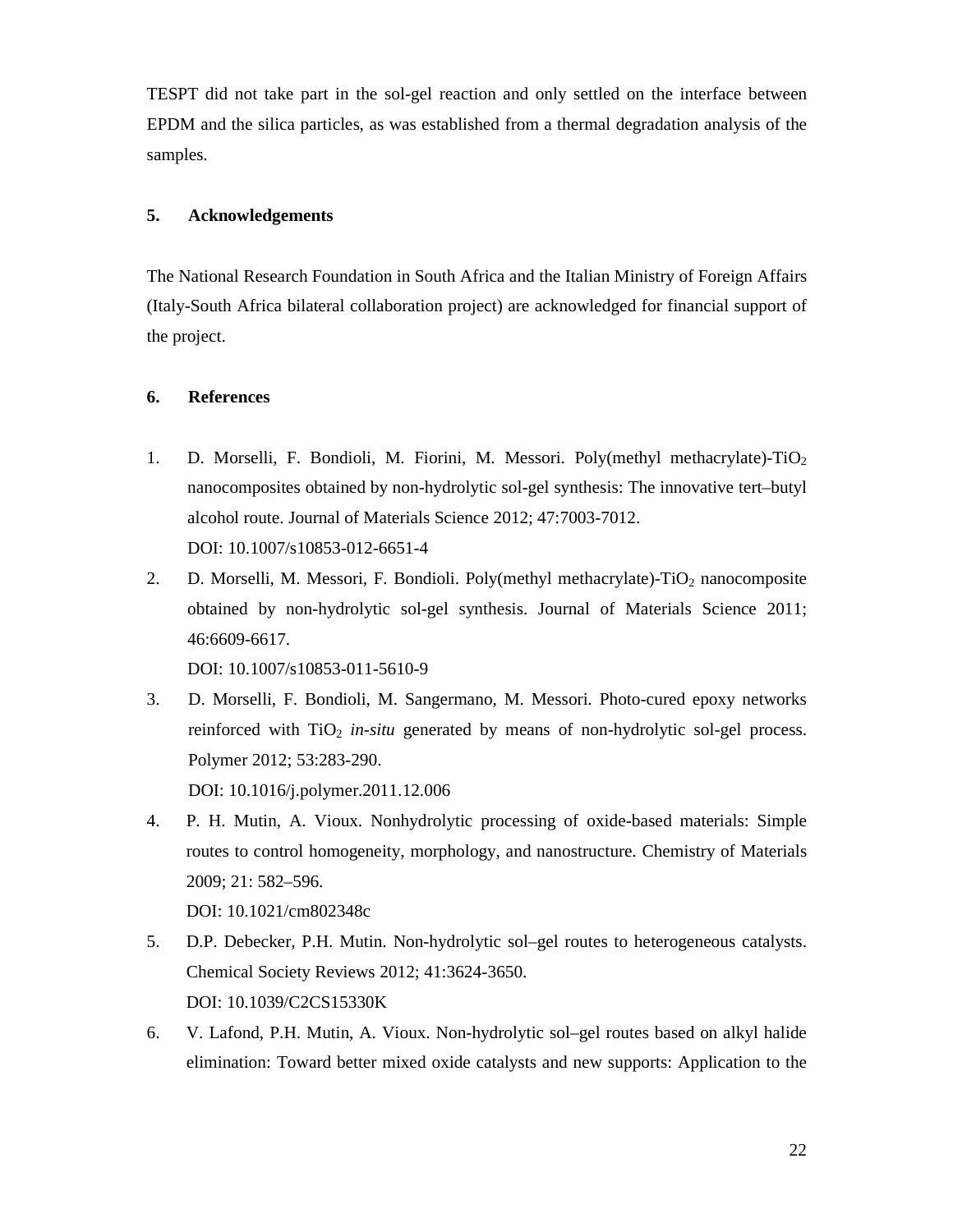TESPT did not take part in the sol-gel reaction and only settled on the interface between EPDM and the silica particles, as was established from a thermal degradation analysis of the samples.

## **5. Acknowledgements**

The National Research Foundation in South Africa and the Italian Ministry of Foreign Affairs (Italy-South Africa bilateral collaboration project) are acknowledged for financial support of the project.

## **6. References**

- 1. D. Morselli, F. Bondioli, M. Fiorini, M. Messori. Poly(methyl methacrylate)-TiO<sup>2</sup> nanocomposites obtained by non-hydrolytic sol-gel synthesis: The innovative tert–butyl alcohol route. Journal of Materials Science 2012; 47:7003-7012. DOI: 10.1007/s10853-012-6651-4
- 2. D. Morselli, M. Messori, F. Bondioli. Poly(methyl methacrylate)- $TiO<sub>2</sub>$  nanocomposite obtained by non-hydrolytic sol-gel synthesis. Journal of Materials Science 2011; 46:6609-6617.

DOI: 10.1007/s10853-011-5610-9

- 3. D. Morselli, F. Bondioli, M. Sangermano, M. Messori. Photo-cured epoxy networks reinforced with  $TiO<sub>2</sub>$  *in-situ* generated by means of non-hydrolytic sol-gel process. Polymer 2012; 53:283-290. DOI: 10.1016/j.polymer.2011.12.006
- 4. P. H. Mutin, A. Vioux. Nonhydrolytic processing of oxide-based materials: Simple routes to control homogeneity, morphology, and nanostructure. Chemistry of Materials 2009; 21: 582–596.

DOI: 10.1021/cm802348c

- 5. D.P. Debecker, P.H. Mutin. Non-hydrolytic sol–gel routes to heterogeneous catalysts. Chemical Society Reviews 2012; 41:3624-3650. DOI: 10.1039/C2CS15330K
- 6. V. Lafond, P.H. Mutin, A. Vioux. Non-hydrolytic sol–gel routes based on alkyl halide elimination: Toward better mixed oxide catalysts and new supports: Application to the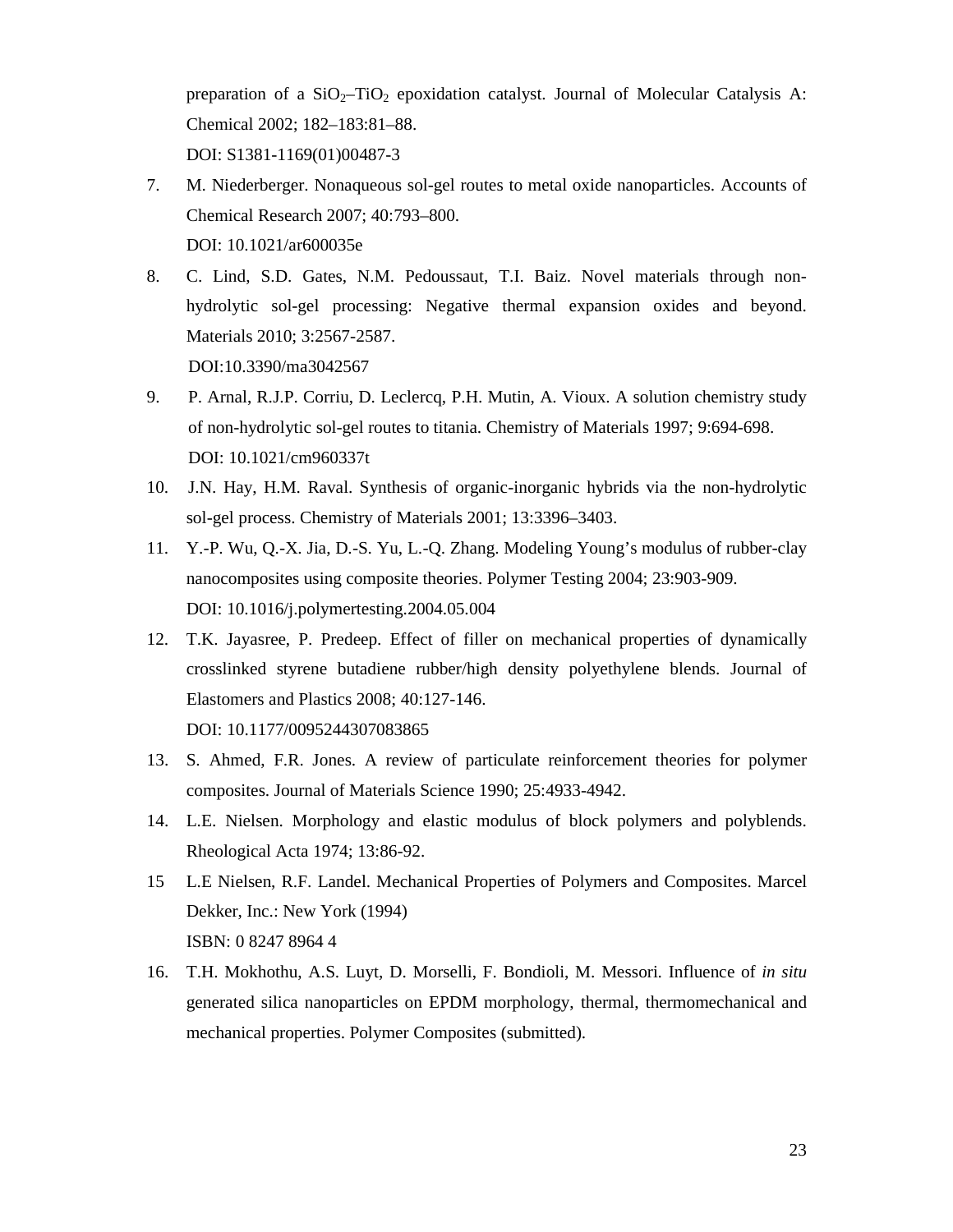preparation of a  $SiO<sub>2</sub>$ -TiO<sub>2</sub> epoxidation catalyst. Journal of Molecular Catalysis A: Chemical 2002; 182–183:81–88. DOI: S1381-1169(01)00487-3

- 7. M. Niederberger. Nonaqueous sol-gel routes to metal oxide nanoparticles. Accounts of Chemical Research 2007; 40:793–800. DOI: 10.1021/ar600035e
- 8. C. Lind, S.D. Gates, N.M. Pedoussaut, T.I. Baiz. Novel materials through nonhydrolytic sol-gel processing: Negative thermal expansion oxides and beyond. Materials 2010; 3:2567-2587. DOI:10.3390/ma3042567
- 9. P. Arnal, R.J.P. Corriu, D. Leclercq, P.H. Mutin, A. Vioux. A solution chemistry study of non-hydrolytic sol-gel routes to titania. Chemistry of Materials 1997; 9:694-698. DOI: 10.1021/cm960337t
- 10. J.N. Hay, H.M. Raval. Synthesis of organic-inorganic hybrids via the non-hydrolytic sol-gel process. Chemistry of Materials 2001; 13:3396–3403.
- 11. Y.-P. Wu, Q.-X. Jia, D.-S. Yu, L.-Q. Zhang. Modeling Young's modulus of rubber-clay nanocomposites using composite theories. Polymer Testing 2004; 23:903-909. DOI: 10.1016/j.polymertesting.2004.05.004
- 12. T.K. Jayasree, P. Predeep. Effect of filler on mechanical properties of dynamically crosslinked styrene butadiene rubber/high density polyethylene blends. Journal of Elastomers and Plastics 2008; 40:127-146. DOI: 10.1177/0095244307083865
- 13. S. Ahmed, F.R. Jones. A review of particulate reinforcement theories for polymer composites. Journal of Materials Science 1990; 25:4933-4942.
- 14. L.E. Nielsen. Morphology and elastic modulus of block polymers and polyblends. Rheological Acta 1974; 13:86-92.
- 15 L.E Nielsen, R.F. Landel. Mechanical Properties of Polymers and Composites. Marcel Dekker, Inc.: New York (1994) ISBN: 0 8247 8964 4
- 16. T.H. Mokhothu, A.S. Luyt, D. Morselli, F. Bondioli, M. Messori. Influence of *in situ*  generated silica nanoparticles on EPDM morphology, thermal, thermomechanical and mechanical properties. Polymer Composites (submitted).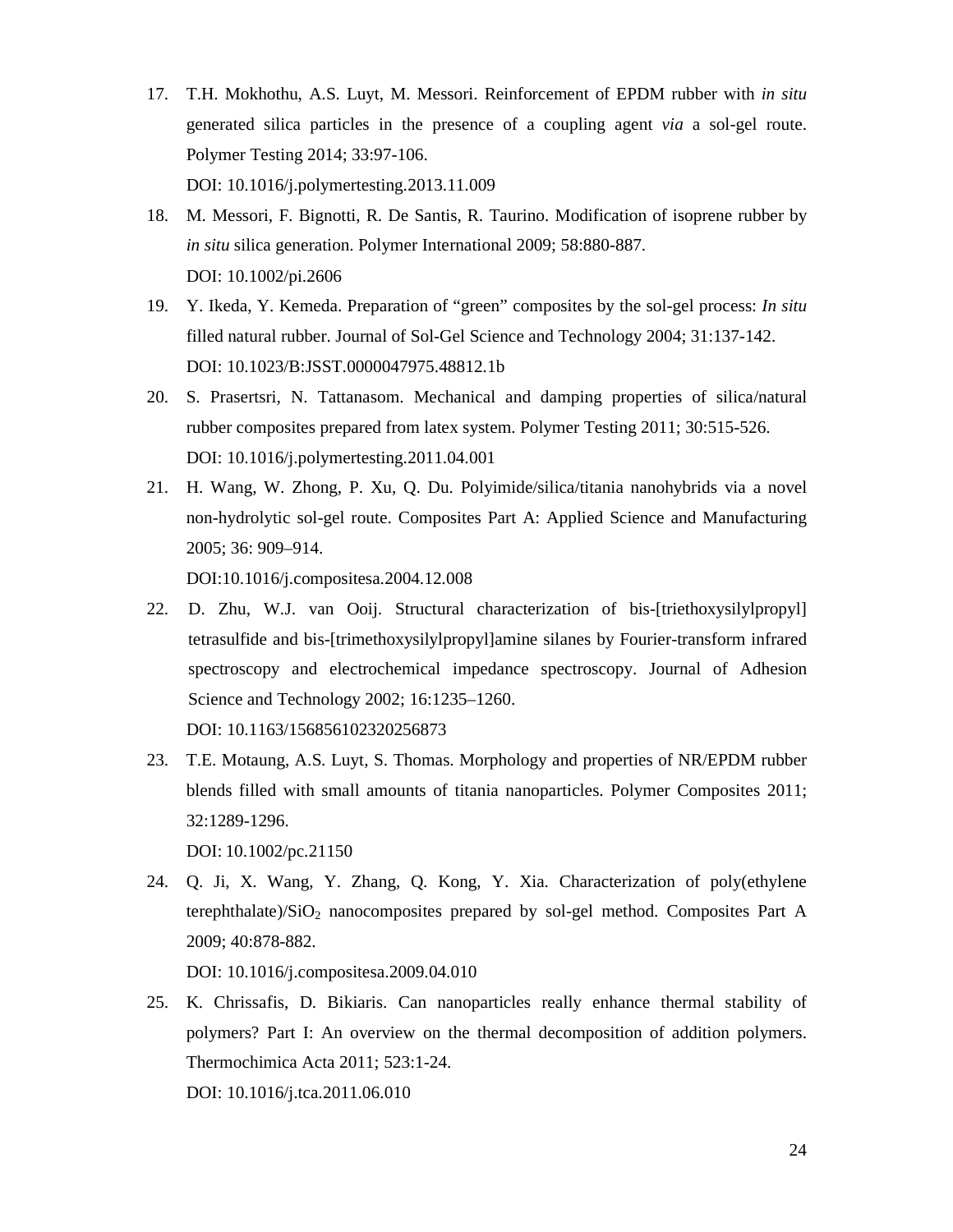- 17. T.H. Mokhothu, A.S. Luyt, M. Messori. Reinforcement of EPDM rubber with *in situ*  generated silica particles in the presence of a coupling agent *via* a sol-gel route. Polymer Testing 2014; 33:97-106. DOI: 10.1016/j.polymertesting.2013.11.009
- 18. M. Messori, F. Bignotti, R. De Santis, R. Taurino. Modification of isoprene rubber by *in situ* silica generation. Polymer International 2009; 58:880-887. DOI: 10.1002/pi.2606
- 19. Y. Ikeda, Y. Kemeda. Preparation of "green" composites by the sol-gel process: *In situ* filled natural rubber. Journal of Sol-Gel Science and Technology 2004; 31:137-142. DOI: 10.1023/B:JSST.0000047975.48812.1b
- 20. S. Prasertsri, N. Tattanasom. Mechanical and damping properties of silica/natural rubber composites prepared from latex system. Polymer Testing 2011; 30:515-526. DOI: 10.1016/j.polymertesting.2011.04.001
- 21. H. Wang, W. Zhong, P. Xu, Q. Du. Polyimide/silica/titania nanohybrids via a novel non-hydrolytic sol-gel route. Composites Part A: Applied Science and Manufacturing 2005; 36: 909–914.

DOI:10.1016/j.compositesa.2004.12.008

- 22. D. Zhu, W.J. van Ooij. Structural characterization of bis-[triethoxysilylpropyl] tetrasulfide and bis-[trimethoxysilylpropyl]amine silanes by Fourier-transform infrared spectroscopy and electrochemical impedance spectroscopy. Journal of Adhesion Science and Technology 2002; 16:1235–1260. DOI: 10.1163/156856102320256873
- 23. T.E. Motaung, A.S. Luyt, S. Thomas. Morphology and properties of NR/EPDM rubber blends filled with small amounts of titania nanoparticles. Polymer Composites 2011; 32:1289-1296.

DOI: 10.1002/pc.21150

24. Q. Ji, X. Wang, Y. Zhang, Q. Kong, Y. Xia. Characterization of poly(ethylene terephthalate)/ $SiO<sub>2</sub>$  nanocomposites prepared by sol-gel method. Composites Part A 2009; 40:878-882.

DOI: 10.1016/j.compositesa.2009.04.010

25. K. Chrissafis, D. Bikiaris. Can nanoparticles really enhance thermal stability of polymers? Part I: An overview on the thermal decomposition of addition polymers. Thermochimica Acta 2011; 523:1-24. DOI: 10.1016/j.tca.2011.06.010